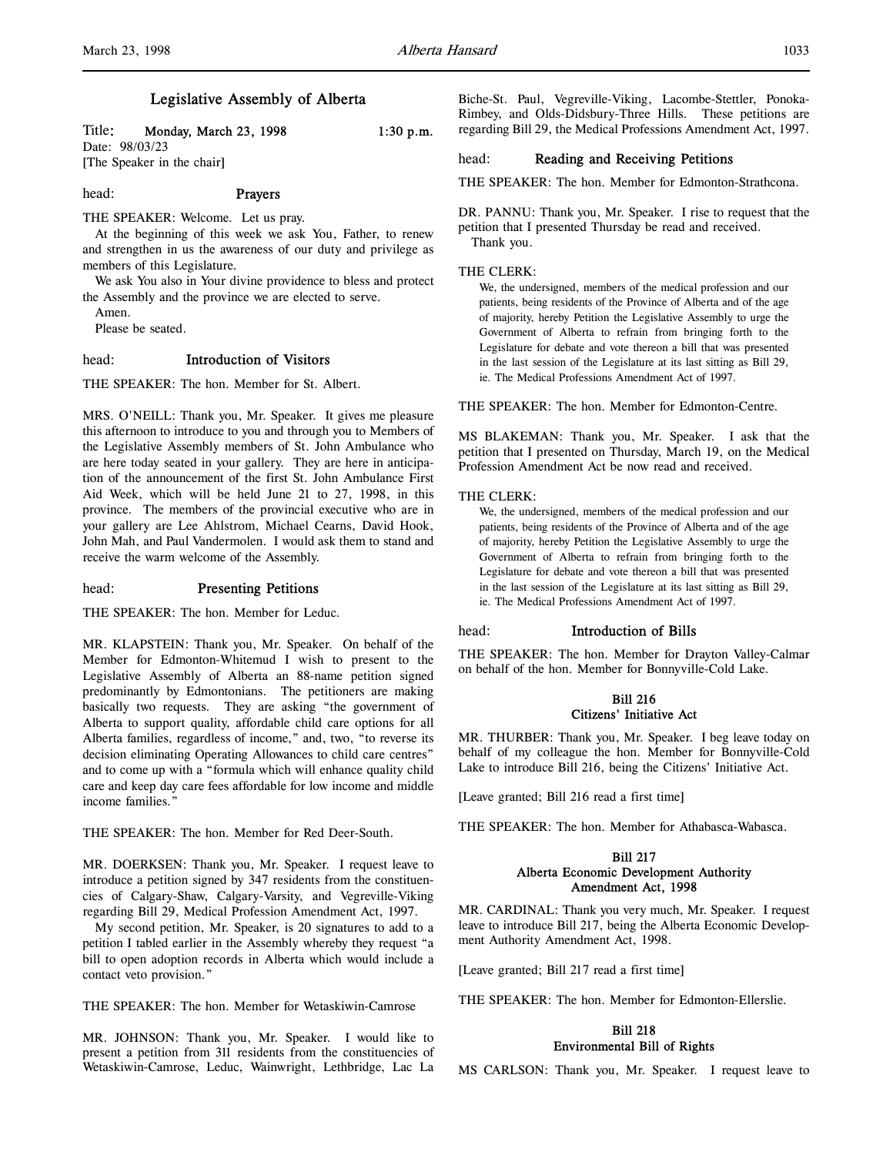# Legislative Assembly of Alberta

Title: Monday, March 23, 1998 1:30 p.m. Date: 98/03/23 [The Speaker in the chair]

# head: Prayers

THE SPEAKER: Welcome. Let us pray.

At the beginning of this week we ask You, Father, to renew and strengthen in us the awareness of our duty and privilege as members of this Legislature.

We ask You also in Your divine providence to bless and protect the Assembly and the province we are elected to serve.

Amen.

Please be seated.

# head: Introduction of Visitors

THE SPEAKER: The hon. Member for St. Albert.

MRS. O'NEILL: Thank you, Mr. Speaker. It gives me pleasure this afternoon to introduce to you and through you to Members of the Legislative Assembly members of St. John Ambulance who are here today seated in your gallery. They are here in anticipation of the announcement of the first St. John Ambulance First Aid Week, which will be held June 21 to 27, 1998, in this province. The members of the provincial executive who are in your gallery are Lee Ahlstrom, Michael Cearns, David Hook, John Mah, and Paul Vandermolen. I would ask them to stand and receive the warm welcome of the Assembly.

#### head: Presenting Petitions

THE SPEAKER: The hon. Member for Leduc.

MR. KLAPSTEIN: Thank you, Mr. Speaker. On behalf of the Member for Edmonton-Whitemud I wish to present to the Legislative Assembly of Alberta an 88-name petition signed predominantly by Edmontonians. The petitioners are making basically two requests. They are asking "the government of Alberta to support quality, affordable child care options for all Alberta families, regardless of income," and, two, "to reverse its decision eliminating Operating Allowances to child care centres" and to come up with a "formula which will enhance quality child care and keep day care fees affordable for low income and middle income families."

THE SPEAKER: The hon. Member for Red Deer-South.

MR. DOERKSEN: Thank you, Mr. Speaker. I request leave to introduce a petition signed by 347 residents from the constituencies of Calgary-Shaw, Calgary-Varsity, and Vegreville-Viking regarding Bill 29, Medical Profession Amendment Act, 1997.

My second petition, Mr. Speaker, is 20 signatures to add to a petition I tabled earlier in the Assembly whereby they request "a bill to open adoption records in Alberta which would include a contact veto provision."

THE SPEAKER: The hon. Member for Wetaskiwin-Camrose

MR. JOHNSON: Thank you, Mr. Speaker. I would like to present a petition from 311 residents from the constituencies of Wetaskiwin-Camrose, Leduc, Wainwright, Lethbridge, Lac La

Biche-St. Paul, Vegreville-Viking, Lacombe-Stettler, Ponoka-Rimbey, and Olds-Didsbury-Three Hills. These petitions are regarding Bill 29, the Medical Professions Amendment Act, 1997.

# head: Reading and Receiving Petitions

THE SPEAKER: The hon. Member for Edmonton-Strathcona.

DR. PANNU: Thank you, Mr. Speaker. I rise to request that the petition that I presented Thursday be read and received. Thank you.

#### THE CLERK:

We, the undersigned, members of the medical profession and our patients, being residents of the Province of Alberta and of the age of majority, hereby Petition the Legislative Assembly to urge the Government of Alberta to refrain from bringing forth to the Legislature for debate and vote thereon a bill that was presented in the last session of the Legislature at its last sitting as Bill 29, ie. The Medical Professions Amendment Act of 1997.

THE SPEAKER: The hon. Member for Edmonton-Centre.

MS BLAKEMAN: Thank you, Mr. Speaker. I ask that the petition that I presented on Thursday, March 19, on the Medical Profession Amendment Act be now read and received.

#### THE CLERK:

We, the undersigned, members of the medical profession and our patients, being residents of the Province of Alberta and of the age of majority, hereby Petition the Legislative Assembly to urge the Government of Alberta to refrain from bringing forth to the Legislature for debate and vote thereon a bill that was presented in the last session of the Legislature at its last sitting as Bill 29, ie. The Medical Professions Amendment Act of 1997.

#### head: Introduction of Bills

THE SPEAKER: The hon. Member for Drayton Valley-Calmar on behalf of the hon. Member for Bonnyville-Cold Lake.

# Bill 216 Citizens' Initiative Act

MR. THURBER: Thank you, Mr. Speaker. I beg leave today on behalf of my colleague the hon. Member for Bonnyville-Cold Lake to introduce Bill 216, being the Citizens' Initiative Act.

[Leave granted; Bill 216 read a first time]

THE SPEAKER: The hon. Member for Athabasca-Wabasca.

### Bill 217 Alberta Economic Development Authority Amendment Act, 1998

MR. CARDINAL: Thank you very much, Mr. Speaker. I request leave to introduce Bill 217, being the Alberta Economic Development Authority Amendment Act, 1998.

[Leave granted; Bill 217 read a first time]

THE SPEAKER: The hon. Member for Edmonton-Ellerslie.

# Bill 218 Environmental Bill of Rights

MS CARLSON: Thank you, Mr. Speaker. I request leave to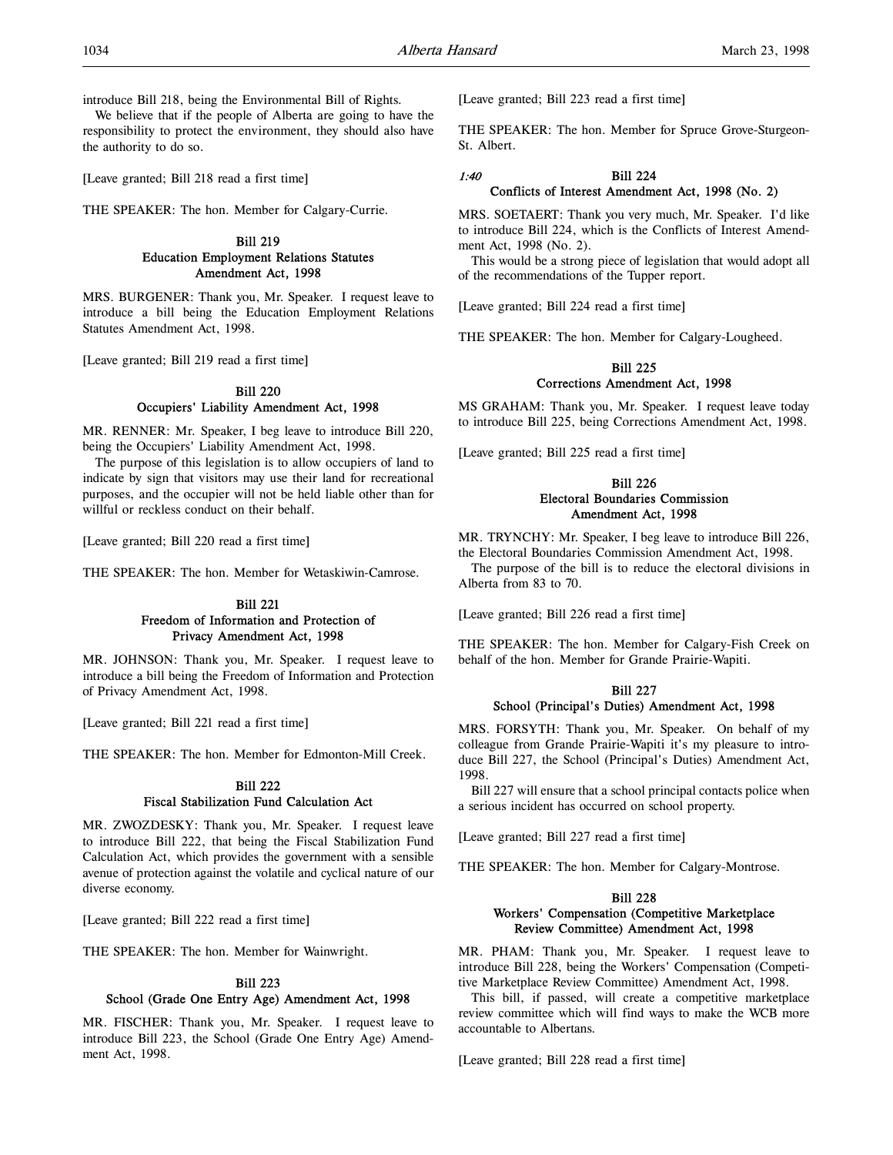introduce Bill 218, being the Environmental Bill of Rights.

We believe that if the people of Alberta are going to have the responsibility to protect the environment, they should also have the authority to do so.

[Leave granted; Bill 218 read a first time]

THE SPEAKER: The hon. Member for Calgary-Currie.

# Bill 219 Education Employment Relations Statutes Amendment Act, 1998

MRS. BURGENER: Thank you, Mr. Speaker. I request leave to introduce a bill being the Education Employment Relations Statutes Amendment Act, 1998.

[Leave granted; Bill 219 read a first time]

# Bill 220 Occupiers' Liability Amendment Act, 1998

MR. RENNER: Mr. Speaker, I beg leave to introduce Bill 220, being the Occupiers' Liability Amendment Act, 1998.

The purpose of this legislation is to allow occupiers of land to indicate by sign that visitors may use their land for recreational purposes, and the occupier will not be held liable other than for willful or reckless conduct on their behalf.

[Leave granted; Bill 220 read a first time]

THE SPEAKER: The hon. Member for Wetaskiwin-Camrose.

# Bill 221 Freedom of Information and Protection of Privacy Amendment Act, 1998

MR. JOHNSON: Thank you, Mr. Speaker. I request leave to introduce a bill being the Freedom of Information and Protection of Privacy Amendment Act, 1998.

[Leave granted; Bill 221 read a first time]

THE SPEAKER: The hon. Member for Edmonton-Mill Creek.

# Bill 222

Fiscal Stabilization Fund Calculation Act

MR. ZWOZDESKY: Thank you, Mr. Speaker. I request leave to introduce Bill 222, that being the Fiscal Stabilization Fund Calculation Act, which provides the government with a sensible avenue of protection against the volatile and cyclical nature of our diverse economy.

[Leave granted; Bill 222 read a first time]

THE SPEAKER: The hon. Member for Wainwright.

#### Bill 223

#### School (Grade One Entry Age) Amendment Act, 1998

MR. FISCHER: Thank you, Mr. Speaker. I request leave to introduce Bill 223, the School (Grade One Entry Age) Amendment Act, 1998.

[Leave granted; Bill 223 read a first time]

THE SPEAKER: The hon. Member for Spruce Grove-Sturgeon-St. Albert.

# 1:40 Bill 224 Conflicts of Interest Amendment Act, 1998 (No. 2)

MRS. SOETAERT: Thank you very much, Mr. Speaker. I'd like to introduce Bill 224, which is the Conflicts of Interest Amendment Act, 1998 (No. 2).

This would be a strong piece of legislation that would adopt all of the recommendations of the Tupper report.

[Leave granted; Bill 224 read a first time]

THE SPEAKER: The hon. Member for Calgary-Lougheed.

# Bill 225 Corrections Amendment Act, 1998

MS GRAHAM: Thank you, Mr. Speaker. I request leave today to introduce Bill 225, being Corrections Amendment Act, 1998.

[Leave granted; Bill 225 read a first time]

# Bill 226 Electoral Boundaries Commission Amendment Act, 1998

MR. TRYNCHY: Mr. Speaker, I beg leave to introduce Bill 226, the Electoral Boundaries Commission Amendment Act, 1998.

The purpose of the bill is to reduce the electoral divisions in Alberta from 83 to 70.

[Leave granted; Bill 226 read a first time]

THE SPEAKER: The hon. Member for Calgary-Fish Creek on behalf of the hon. Member for Grande Prairie-Wapiti.

# Bill 227 School (Principal's Duties) Amendment Act, 1998

MRS. FORSYTH: Thank you, Mr. Speaker. On behalf of my colleague from Grande Prairie-Wapiti it's my pleasure to introduce Bill 227, the School (Principal's Duties) Amendment Act, 1998.

Bill 227 will ensure that a school principal contacts police when a serious incident has occurred on school property.

[Leave granted; Bill 227 read a first time]

THE SPEAKER: The hon. Member for Calgary-Montrose.

# Bill 228 Workers' Compensation (Competitive Marketplace Review Committee) Amendment Act, 1998

MR. PHAM: Thank you, Mr. Speaker. I request leave to introduce Bill 228, being the Workers' Compensation (Competitive Marketplace Review Committee) Amendment Act, 1998.

This bill, if passed, will create a competitive marketplace review committee which will find ways to make the WCB more accountable to Albertans.

[Leave granted; Bill 228 read a first time]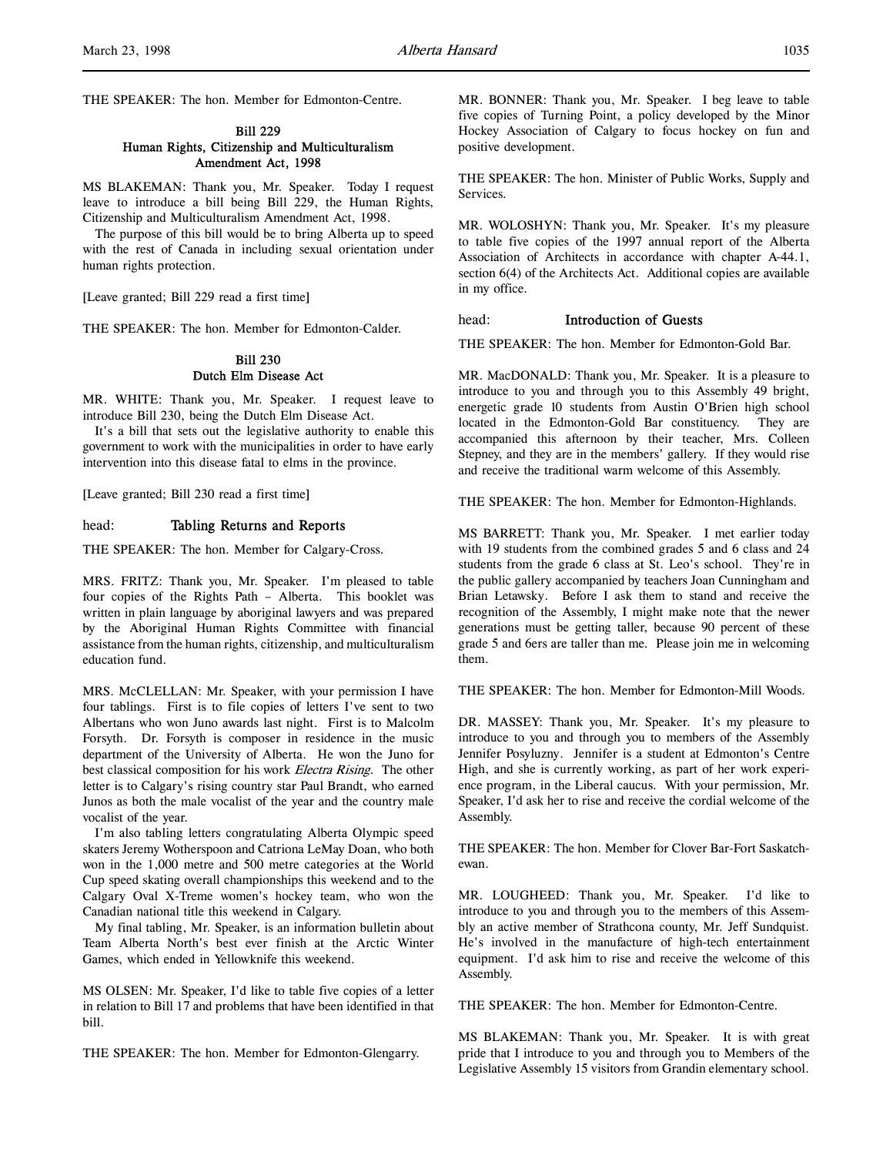# Bill 229 Human Rights, Citizenship and Multiculturalism Amendment Act, 1998

MS BLAKEMAN: Thank you, Mr. Speaker. Today I request leave to introduce a bill being Bill 229, the Human Rights, Citizenship and Multiculturalism Amendment Act, 1998.

The purpose of this bill would be to bring Alberta up to speed with the rest of Canada in including sexual orientation under human rights protection.

[Leave granted; Bill 229 read a first time]

THE SPEAKER: The hon. Member for Edmonton-Calder.

# Bill 230 Dutch Elm Disease Act

MR. WHITE: Thank you, Mr. Speaker. I request leave to introduce Bill 230, being the Dutch Elm Disease Act.

It's a bill that sets out the legislative authority to enable this government to work with the municipalities in order to have early intervention into this disease fatal to elms in the province.

[Leave granted; Bill 230 read a first time]

head: Tabling Returns and Reports

THE SPEAKER: The hon. Member for Calgary-Cross.

MRS. FRITZ: Thank you, Mr. Speaker. I'm pleased to table four copies of the Rights Path – Alberta. This booklet was written in plain language by aboriginal lawyers and was prepared by the Aboriginal Human Rights Committee with financial assistance from the human rights, citizenship, and multiculturalism education fund.

MRS. McCLELLAN: Mr. Speaker, with your permission I have four tablings. First is to file copies of letters I've sent to two Albertans who won Juno awards last night. First is to Malcolm Forsyth. Dr. Forsyth is composer in residence in the music department of the University of Alberta. He won the Juno for best classical composition for his work Electra Rising. The other letter is to Calgary's rising country star Paul Brandt, who earned Junos as both the male vocalist of the year and the country male vocalist of the year.

I'm also tabling letters congratulating Alberta Olympic speed skaters Jeremy Wotherspoon and Catriona LeMay Doan, who both won in the 1,000 metre and 500 metre categories at the World Cup speed skating overall championships this weekend and to the Calgary Oval X-Treme women's hockey team, who won the Canadian national title this weekend in Calgary.

My final tabling, Mr. Speaker, is an information bulletin about Team Alberta North's best ever finish at the Arctic Winter Games, which ended in Yellowknife this weekend.

MS OLSEN: Mr. Speaker, I'd like to table five copies of a letter in relation to Bill 17 and problems that have been identified in that bill.

THE SPEAKER: The hon. Member for Edmonton-Glengarry.

MR. BONNER: Thank you, Mr. Speaker. I beg leave to table five copies of Turning Point, a policy developed by the Minor Hockey Association of Calgary to focus hockey on fun and positive development.

THE SPEAKER: The hon. Minister of Public Works, Supply and **Services** 

MR. WOLOSHYN: Thank you, Mr. Speaker. It's my pleasure to table five copies of the 1997 annual report of the Alberta Association of Architects in accordance with chapter A-44.1, section 6(4) of the Architects Act. Additional copies are available in my office.

# head: Introduction of Guests

THE SPEAKER: The hon. Member for Edmonton-Gold Bar.

MR. MacDONALD: Thank you, Mr. Speaker. It is a pleasure to introduce to you and through you to this Assembly 49 bright, energetic grade 10 students from Austin O'Brien high school located in the Edmonton-Gold Bar constituency. They are accompanied this afternoon by their teacher, Mrs. Colleen Stepney, and they are in the members' gallery. If they would rise and receive the traditional warm welcome of this Assembly.

THE SPEAKER: The hon. Member for Edmonton-Highlands.

MS BARRETT: Thank you, Mr. Speaker. I met earlier today with 19 students from the combined grades 5 and 6 class and 24 students from the grade 6 class at St. Leo's school. They're in the public gallery accompanied by teachers Joan Cunningham and Brian Letawsky. Before I ask them to stand and receive the recognition of the Assembly, I might make note that the newer generations must be getting taller, because 90 percent of these grade 5 and 6ers are taller than me. Please join me in welcoming them.

THE SPEAKER: The hon. Member for Edmonton-Mill Woods.

DR. MASSEY: Thank you, Mr. Speaker. It's my pleasure to introduce to you and through you to members of the Assembly Jennifer Posyluzny. Jennifer is a student at Edmonton's Centre High, and she is currently working, as part of her work experience program, in the Liberal caucus. With your permission, Mr. Speaker, I'd ask her to rise and receive the cordial welcome of the Assembly.

THE SPEAKER: The hon. Member for Clover Bar-Fort Saskatchewan.

MR. LOUGHEED: Thank you, Mr. Speaker. I'd like to introduce to you and through you to the members of this Assembly an active member of Strathcona county, Mr. Jeff Sundquist. He's involved in the manufacture of high-tech entertainment equipment. I'd ask him to rise and receive the welcome of this Assembly.

THE SPEAKER: The hon. Member for Edmonton-Centre.

MS BLAKEMAN: Thank you, Mr. Speaker. It is with great pride that I introduce to you and through you to Members of the Legislative Assembly 15 visitors from Grandin elementary school.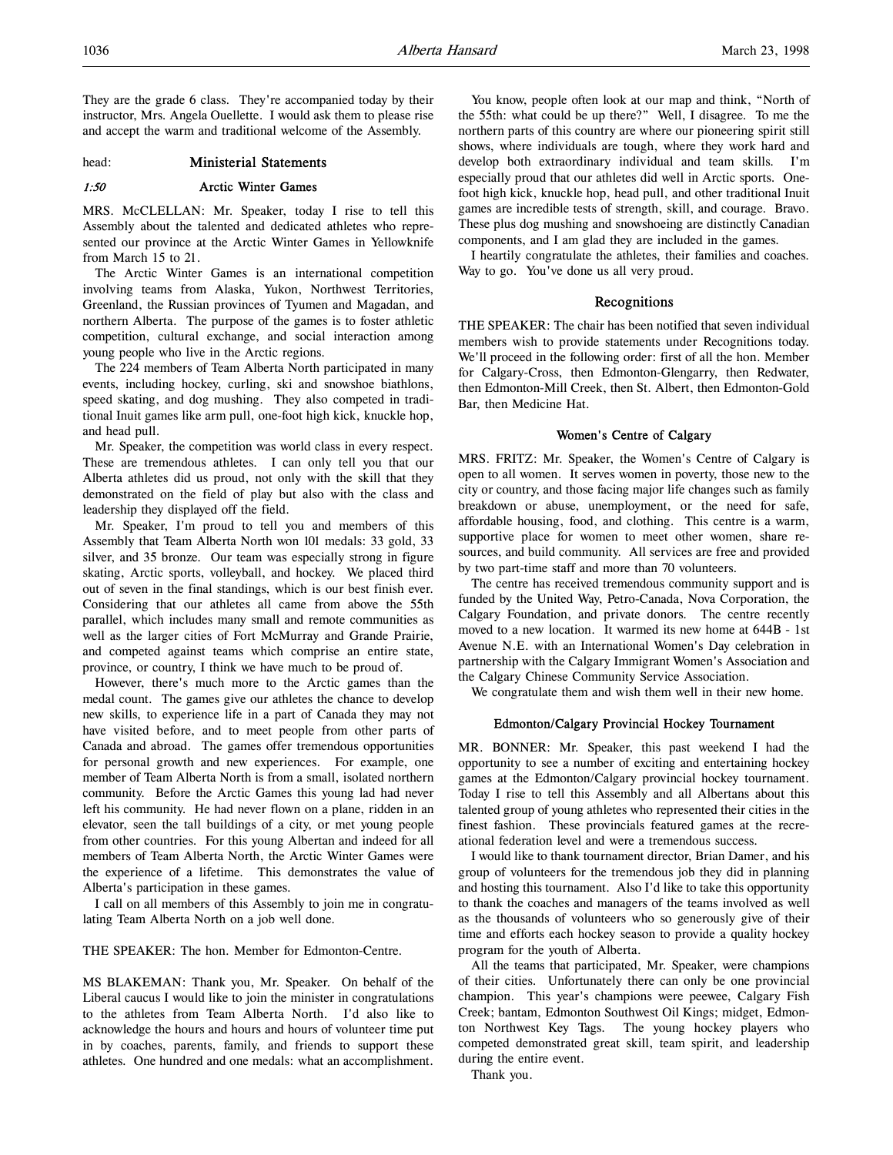They are the grade 6 class. They're accompanied today by their instructor, Mrs. Angela Ouellette. I would ask them to please rise and accept the warm and traditional welcome of the Assembly.

head: Ministerial Statements

# 1:50 Arctic Winter Games

MRS. McCLELLAN: Mr. Speaker, today I rise to tell this Assembly about the talented and dedicated athletes who represented our province at the Arctic Winter Games in Yellowknife from March 15 to 21.

The Arctic Winter Games is an international competition involving teams from Alaska, Yukon, Northwest Territories, Greenland, the Russian provinces of Tyumen and Magadan, and northern Alberta. The purpose of the games is to foster athletic competition, cultural exchange, and social interaction among young people who live in the Arctic regions.

The 224 members of Team Alberta North participated in many events, including hockey, curling, ski and snowshoe biathlons, speed skating, and dog mushing. They also competed in traditional Inuit games like arm pull, one-foot high kick, knuckle hop, and head pull.

Mr. Speaker, the competition was world class in every respect. These are tremendous athletes. I can only tell you that our Alberta athletes did us proud, not only with the skill that they demonstrated on the field of play but also with the class and leadership they displayed off the field.

Mr. Speaker, I'm proud to tell you and members of this Assembly that Team Alberta North won 101 medals: 33 gold, 33 silver, and 35 bronze. Our team was especially strong in figure skating, Arctic sports, volleyball, and hockey. We placed third out of seven in the final standings, which is our best finish ever. Considering that our athletes all came from above the 55th parallel, which includes many small and remote communities as well as the larger cities of Fort McMurray and Grande Prairie, and competed against teams which comprise an entire state, province, or country, I think we have much to be proud of.

However, there's much more to the Arctic games than the medal count. The games give our athletes the chance to develop new skills, to experience life in a part of Canada they may not have visited before, and to meet people from other parts of Canada and abroad. The games offer tremendous opportunities for personal growth and new experiences. For example, one member of Team Alberta North is from a small, isolated northern community. Before the Arctic Games this young lad had never left his community. He had never flown on a plane, ridden in an elevator, seen the tall buildings of a city, or met young people from other countries. For this young Albertan and indeed for all members of Team Alberta North, the Arctic Winter Games were the experience of a lifetime. This demonstrates the value of Alberta's participation in these games.

I call on all members of this Assembly to join me in congratulating Team Alberta North on a job well done.

#### THE SPEAKER: The hon. Member for Edmonton-Centre.

MS BLAKEMAN: Thank you, Mr. Speaker. On behalf of the Liberal caucus I would like to join the minister in congratulations to the athletes from Team Alberta North. I'd also like to acknowledge the hours and hours and hours of volunteer time put in by coaches, parents, family, and friends to support these athletes. One hundred and one medals: what an accomplishment.

You know, people often look at our map and think, "North of the 55th: what could be up there?" Well, I disagree. To me the northern parts of this country are where our pioneering spirit still shows, where individuals are tough, where they work hard and develop both extraordinary individual and team skills. I'm especially proud that our athletes did well in Arctic sports. Onefoot high kick, knuckle hop, head pull, and other traditional Inuit games are incredible tests of strength, skill, and courage. Bravo. These plus dog mushing and snowshoeing are distinctly Canadian components, and I am glad they are included in the games.

I heartily congratulate the athletes, their families and coaches. Way to go. You've done us all very proud.

#### Recognitions

THE SPEAKER: The chair has been notified that seven individual members wish to provide statements under Recognitions today. We'll proceed in the following order: first of all the hon. Member for Calgary-Cross, then Edmonton-Glengarry, then Redwater, then Edmonton-Mill Creek, then St. Albert, then Edmonton-Gold Bar, then Medicine Hat.

## Women's Centre of Calgary

MRS. FRITZ: Mr. Speaker, the Women's Centre of Calgary is open to all women. It serves women in poverty, those new to the city or country, and those facing major life changes such as family breakdown or abuse, unemployment, or the need for safe, affordable housing, food, and clothing. This centre is a warm, supportive place for women to meet other women, share resources, and build community. All services are free and provided by two part-time staff and more than 70 volunteers.

The centre has received tremendous community support and is funded by the United Way, Petro-Canada, Nova Corporation, the Calgary Foundation, and private donors. The centre recently moved to a new location. It warmed its new home at 644B - 1st Avenue N.E. with an International Women's Day celebration in partnership with the Calgary Immigrant Women's Association and the Calgary Chinese Community Service Association.

We congratulate them and wish them well in their new home.

#### Edmonton/Calgary Provincial Hockey Tournament

MR. BONNER: Mr. Speaker, this past weekend I had the opportunity to see a number of exciting and entertaining hockey games at the Edmonton/Calgary provincial hockey tournament. Today I rise to tell this Assembly and all Albertans about this talented group of young athletes who represented their cities in the finest fashion. These provincials featured games at the recreational federation level and were a tremendous success.

I would like to thank tournament director, Brian Damer, and his group of volunteers for the tremendous job they did in planning and hosting this tournament. Also I'd like to take this opportunity to thank the coaches and managers of the teams involved as well as the thousands of volunteers who so generously give of their time and efforts each hockey season to provide a quality hockey program for the youth of Alberta.

All the teams that participated, Mr. Speaker, were champions of their cities. Unfortunately there can only be one provincial champion. This year's champions were peewee, Calgary Fish Creek; bantam, Edmonton Southwest Oil Kings; midget, Edmonton Northwest Key Tags. The young hockey players who competed demonstrated great skill, team spirit, and leadership during the entire event.

Thank you.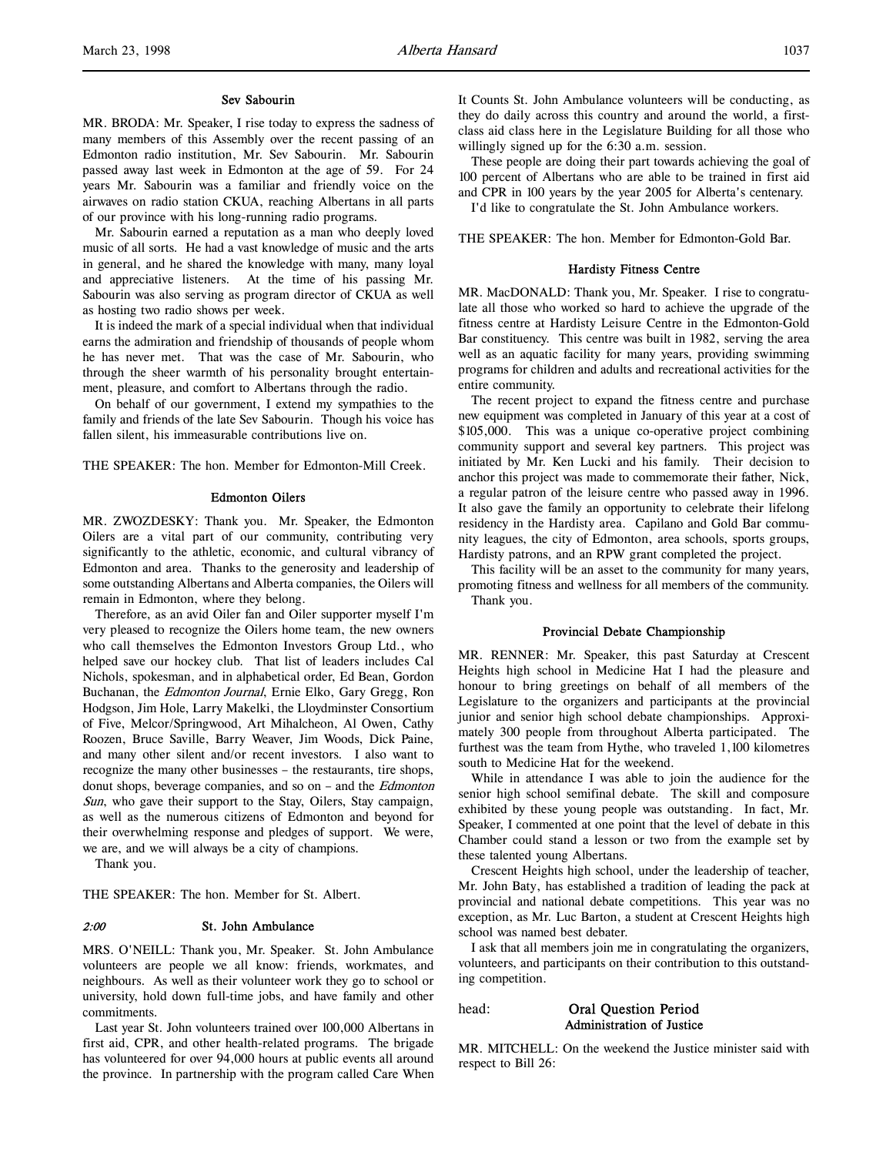#### Sev Sabourin

MR. BRODA: Mr. Speaker, I rise today to express the sadness of many members of this Assembly over the recent passing of an Edmonton radio institution, Mr. Sev Sabourin. Mr. Sabourin passed away last week in Edmonton at the age of 59. For 24 years Mr. Sabourin was a familiar and friendly voice on the airwaves on radio station CKUA, reaching Albertans in all parts of our province with his long-running radio programs.

Mr. Sabourin earned a reputation as a man who deeply loved music of all sorts. He had a vast knowledge of music and the arts in general, and he shared the knowledge with many, many loyal and appreciative listeners. At the time of his passing Mr. Sabourin was also serving as program director of CKUA as well as hosting two radio shows per week.

It is indeed the mark of a special individual when that individual earns the admiration and friendship of thousands of people whom he has never met. That was the case of Mr. Sabourin, who through the sheer warmth of his personality brought entertainment, pleasure, and comfort to Albertans through the radio.

On behalf of our government, I extend my sympathies to the family and friends of the late Sev Sabourin. Though his voice has fallen silent, his immeasurable contributions live on.

THE SPEAKER: The hon. Member for Edmonton-Mill Creek.

#### Edmonton Oilers

MR. ZWOZDESKY: Thank you. Mr. Speaker, the Edmonton Oilers are a vital part of our community, contributing very significantly to the athletic, economic, and cultural vibrancy of Edmonton and area. Thanks to the generosity and leadership of some outstanding Albertans and Alberta companies, the Oilers will remain in Edmonton, where they belong.

Therefore, as an avid Oiler fan and Oiler supporter myself I'm very pleased to recognize the Oilers home team, the new owners who call themselves the Edmonton Investors Group Ltd., who helped save our hockey club. That list of leaders includes Cal Nichols, spokesman, and in alphabetical order, Ed Bean, Gordon Buchanan, the Edmonton Journal, Ernie Elko, Gary Gregg, Ron Hodgson, Jim Hole, Larry Makelki, the Lloydminster Consortium of Five, Melcor/Springwood, Art Mihalcheon, Al Owen, Cathy Roozen, Bruce Saville, Barry Weaver, Jim Woods, Dick Paine, and many other silent and/or recent investors. I also want to recognize the many other businesses – the restaurants, tire shops, donut shops, beverage companies, and so on – and the Edmonton Sun, who gave their support to the Stay, Oilers, Stay campaign, as well as the numerous citizens of Edmonton and beyond for their overwhelming response and pledges of support. We were, we are, and we will always be a city of champions.

Thank you.

THE SPEAKER: The hon. Member for St. Albert.

#### 2:00 St. John Ambulance

MRS. O'NEILL: Thank you, Mr. Speaker. St. John Ambulance volunteers are people we all know: friends, workmates, and neighbours. As well as their volunteer work they go to school or university, hold down full-time jobs, and have family and other commitments.

Last year St. John volunteers trained over 100,000 Albertans in first aid, CPR, and other health-related programs. The brigade has volunteered for over 94,000 hours at public events all around the province. In partnership with the program called Care When

It Counts St. John Ambulance volunteers will be conducting, as they do daily across this country and around the world, a firstclass aid class here in the Legislature Building for all those who willingly signed up for the 6:30 a.m. session.

These people are doing their part towards achieving the goal of 100 percent of Albertans who are able to be trained in first aid and CPR in 100 years by the year 2005 for Alberta's centenary.

I'd like to congratulate the St. John Ambulance workers.

THE SPEAKER: The hon. Member for Edmonton-Gold Bar.

#### Hardisty Fitness Centre

MR. MacDONALD: Thank you, Mr. Speaker. I rise to congratulate all those who worked so hard to achieve the upgrade of the fitness centre at Hardisty Leisure Centre in the Edmonton-Gold Bar constituency. This centre was built in 1982, serving the area well as an aquatic facility for many years, providing swimming programs for children and adults and recreational activities for the entire community.

The recent project to expand the fitness centre and purchase new equipment was completed in January of this year at a cost of \$105,000. This was a unique co-operative project combining community support and several key partners. This project was initiated by Mr. Ken Lucki and his family. Their decision to anchor this project was made to commemorate their father, Nick, a regular patron of the leisure centre who passed away in 1996. It also gave the family an opportunity to celebrate their lifelong residency in the Hardisty area. Capilano and Gold Bar community leagues, the city of Edmonton, area schools, sports groups, Hardisty patrons, and an RPW grant completed the project.

This facility will be an asset to the community for many years, promoting fitness and wellness for all members of the community. Thank you.

#### Provincial Debate Championship

MR. RENNER: Mr. Speaker, this past Saturday at Crescent Heights high school in Medicine Hat I had the pleasure and honour to bring greetings on behalf of all members of the Legislature to the organizers and participants at the provincial junior and senior high school debate championships. Approximately 300 people from throughout Alberta participated. The furthest was the team from Hythe, who traveled 1,100 kilometres south to Medicine Hat for the weekend.

While in attendance I was able to join the audience for the senior high school semifinal debate. The skill and composure exhibited by these young people was outstanding. In fact, Mr. Speaker, I commented at one point that the level of debate in this Chamber could stand a lesson or two from the example set by these talented young Albertans.

Crescent Heights high school, under the leadership of teacher, Mr. John Baty, has established a tradition of leading the pack at provincial and national debate competitions. This year was no exception, as Mr. Luc Barton, a student at Crescent Heights high school was named best debater.

I ask that all members join me in congratulating the organizers, volunteers, and participants on their contribution to this outstanding competition.

head: Oral Question Period

# Administration of Justice

MR. MITCHELL: On the weekend the Justice minister said with respect to Bill 26: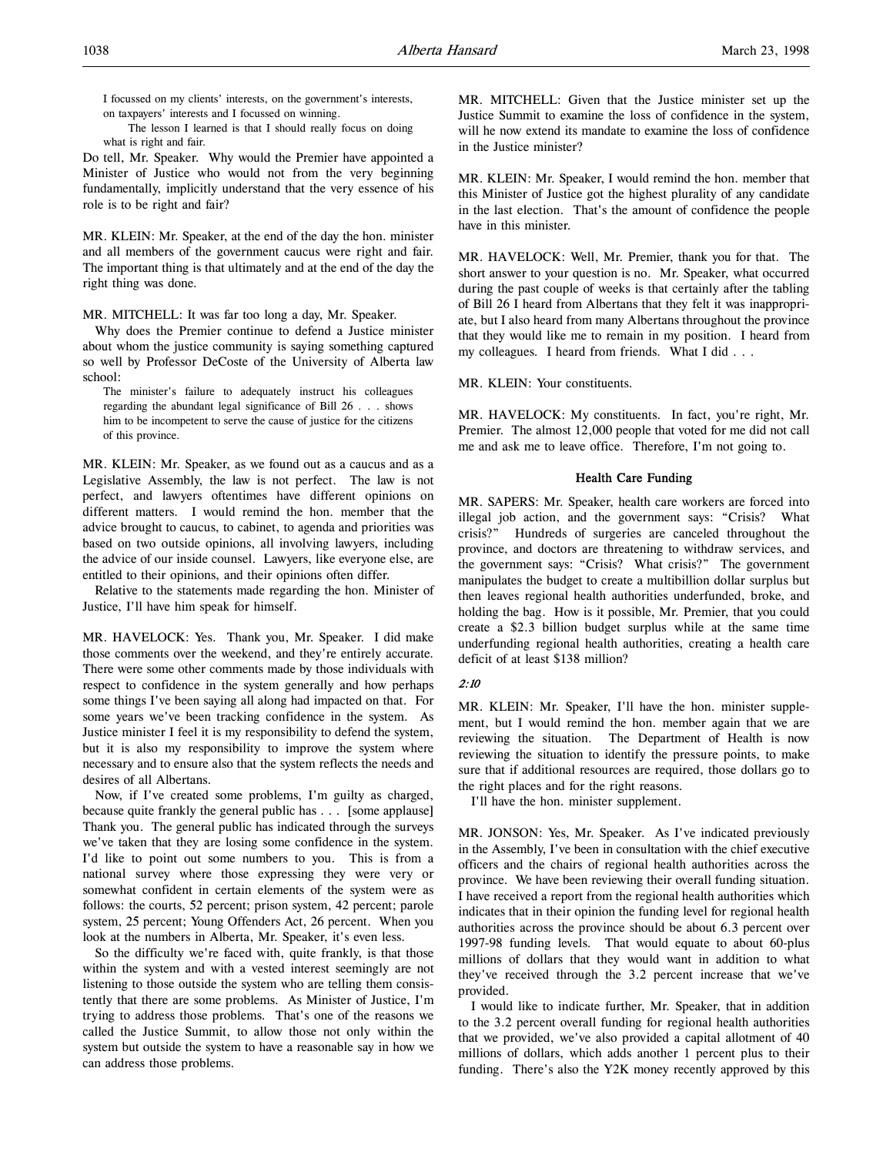I focussed on my clients' interests, on the government's interests, on taxpayers' interests and I focussed on winning.

The lesson I learned is that I should really focus on doing what is right and fair.

Do tell, Mr. Speaker. Why would the Premier have appointed a Minister of Justice who would not from the very beginning fundamentally, implicitly understand that the very essence of his role is to be right and fair?

MR. KLEIN: Mr. Speaker, at the end of the day the hon. minister and all members of the government caucus were right and fair. The important thing is that ultimately and at the end of the day the right thing was done.

MR. MITCHELL: It was far too long a day, Mr. Speaker.

Why does the Premier continue to defend a Justice minister about whom the justice community is saying something captured so well by Professor DeCoste of the University of Alberta law school:

The minister's failure to adequately instruct his colleagues regarding the abundant legal significance of Bill 26 . . . shows him to be incompetent to serve the cause of justice for the citizens of this province.

MR. KLEIN: Mr. Speaker, as we found out as a caucus and as a Legislative Assembly, the law is not perfect. The law is not perfect, and lawyers oftentimes have different opinions on different matters. I would remind the hon. member that the advice brought to caucus, to cabinet, to agenda and priorities was based on two outside opinions, all involving lawyers, including the advice of our inside counsel. Lawyers, like everyone else, are entitled to their opinions, and their opinions often differ.

Relative to the statements made regarding the hon. Minister of Justice, I'll have him speak for himself.

MR. HAVELOCK: Yes. Thank you, Mr. Speaker. I did make those comments over the weekend, and they're entirely accurate. There were some other comments made by those individuals with respect to confidence in the system generally and how perhaps some things I've been saying all along had impacted on that. For some years we've been tracking confidence in the system. As Justice minister I feel it is my responsibility to defend the system, but it is also my responsibility to improve the system where necessary and to ensure also that the system reflects the needs and desires of all Albertans.

Now, if I've created some problems, I'm guilty as charged, because quite frankly the general public has . . . [some applause] Thank you. The general public has indicated through the surveys we've taken that they are losing some confidence in the system. I'd like to point out some numbers to you. This is from a national survey where those expressing they were very or somewhat confident in certain elements of the system were as follows: the courts, 52 percent; prison system, 42 percent; parole system, 25 percent; Young Offenders Act, 26 percent. When you look at the numbers in Alberta, Mr. Speaker, it's even less.

So the difficulty we're faced with, quite frankly, is that those within the system and with a vested interest seemingly are not listening to those outside the system who are telling them consistently that there are some problems. As Minister of Justice, I'm trying to address those problems. That's one of the reasons we called the Justice Summit, to allow those not only within the system but outside the system to have a reasonable say in how we can address those problems.

MR. MITCHELL: Given that the Justice minister set up the Justice Summit to examine the loss of confidence in the system, will he now extend its mandate to examine the loss of confidence in the Justice minister?

MR. KLEIN: Mr. Speaker, I would remind the hon. member that this Minister of Justice got the highest plurality of any candidate in the last election. That's the amount of confidence the people have in this minister.

MR. HAVELOCK: Well, Mr. Premier, thank you for that. The short answer to your question is no. Mr. Speaker, what occurred during the past couple of weeks is that certainly after the tabling of Bill 26 I heard from Albertans that they felt it was inappropriate, but I also heard from many Albertans throughout the province that they would like me to remain in my position. I heard from my colleagues. I heard from friends. What I did . . .

MR. KLEIN: Your constituents.

MR. HAVELOCK: My constituents. In fact, you're right, Mr. Premier. The almost 12,000 people that voted for me did not call me and ask me to leave office. Therefore, I'm not going to.

# Health Care Funding

MR. SAPERS: Mr. Speaker, health care workers are forced into illegal job action, and the government says: "Crisis? What crisis?" Hundreds of surgeries are canceled throughout the province, and doctors are threatening to withdraw services, and the government says: "Crisis? What crisis?" The government manipulates the budget to create a multibillion dollar surplus but then leaves regional health authorities underfunded, broke, and holding the bag. How is it possible, Mr. Premier, that you could create a \$2.3 billion budget surplus while at the same time underfunding regional health authorities, creating a health care deficit of at least \$138 million?

# 2:10

MR. KLEIN: Mr. Speaker, I'll have the hon. minister supplement, but I would remind the hon. member again that we are reviewing the situation. The Department of Health is now reviewing the situation to identify the pressure points, to make sure that if additional resources are required, those dollars go to the right places and for the right reasons.

I'll have the hon. minister supplement.

MR. JONSON: Yes, Mr. Speaker. As I've indicated previously in the Assembly, I've been in consultation with the chief executive officers and the chairs of regional health authorities across the province. We have been reviewing their overall funding situation. I have received a report from the regional health authorities which indicates that in their opinion the funding level for regional health authorities across the province should be about 6.3 percent over 1997-98 funding levels. That would equate to about 60-plus millions of dollars that they would want in addition to what they've received through the 3.2 percent increase that we've provided.

I would like to indicate further, Mr. Speaker, that in addition to the 3.2 percent overall funding for regional health authorities that we provided, we've also provided a capital allotment of 40 millions of dollars, which adds another 1 percent plus to their funding. There's also the Y2K money recently approved by this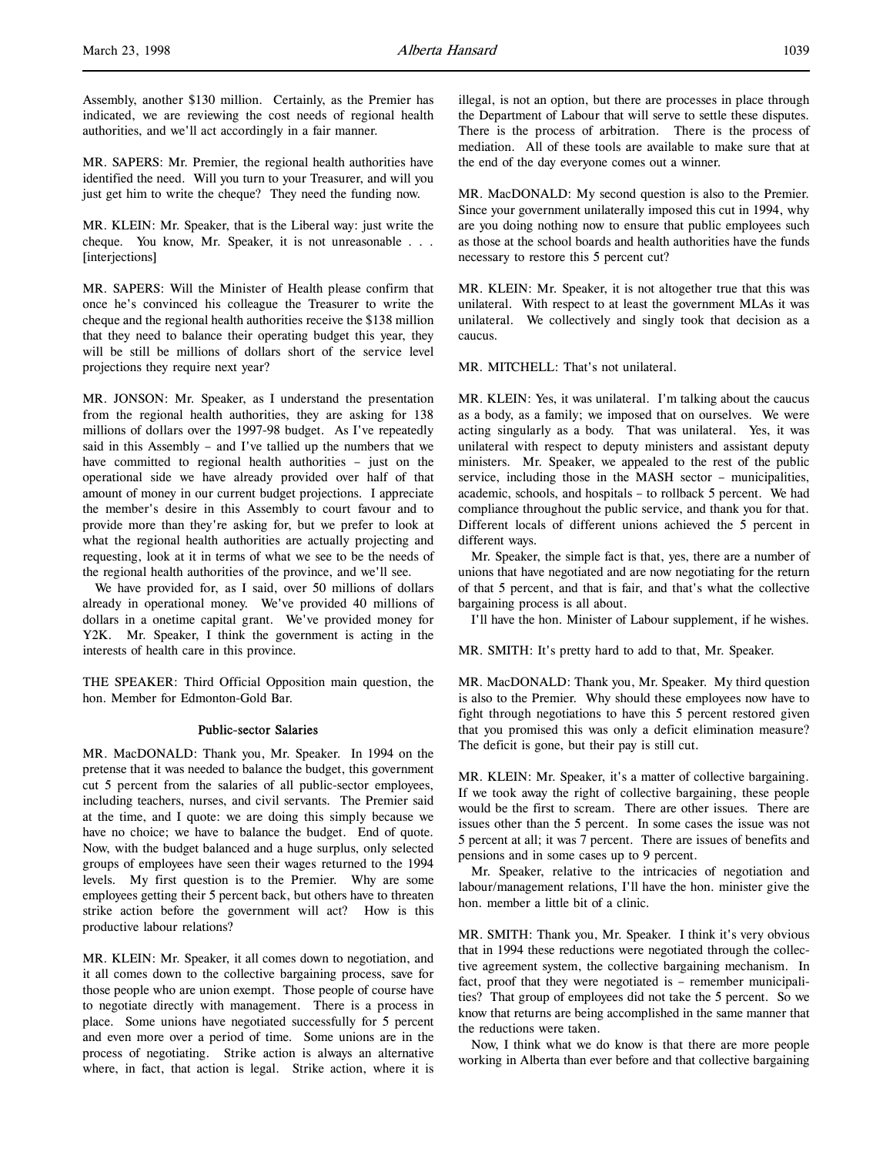Assembly, another \$130 million. Certainly, as the Premier has indicated, we are reviewing the cost needs of regional health authorities, and we'll act accordingly in a fair manner.

MR. SAPERS: Mr. Premier, the regional health authorities have identified the need. Will you turn to your Treasurer, and will you just get him to write the cheque? They need the funding now.

MR. KLEIN: Mr. Speaker, that is the Liberal way: just write the cheque. You know, Mr. Speaker, it is not unreasonable . . . [interjections]

MR. SAPERS: Will the Minister of Health please confirm that once he's convinced his colleague the Treasurer to write the cheque and the regional health authorities receive the \$138 million that they need to balance their operating budget this year, they will be still be millions of dollars short of the service level projections they require next year?

MR. JONSON: Mr. Speaker, as I understand the presentation from the regional health authorities, they are asking for 138 millions of dollars over the 1997-98 budget. As I've repeatedly said in this Assembly – and I've tallied up the numbers that we have committed to regional health authorities – just on the operational side we have already provided over half of that amount of money in our current budget projections. I appreciate the member's desire in this Assembly to court favour and to provide more than they're asking for, but we prefer to look at what the regional health authorities are actually projecting and requesting, look at it in terms of what we see to be the needs of the regional health authorities of the province, and we'll see.

We have provided for, as I said, over 50 millions of dollars already in operational money. We've provided 40 millions of dollars in a onetime capital grant. We've provided money for Y2K. Mr. Speaker, I think the government is acting in the interests of health care in this province.

THE SPEAKER: Third Official Opposition main question, the hon. Member for Edmonton-Gold Bar.

# Public-sector Salaries

MR. MacDONALD: Thank you, Mr. Speaker. In 1994 on the pretense that it was needed to balance the budget, this government cut 5 percent from the salaries of all public-sector employees, including teachers, nurses, and civil servants. The Premier said at the time, and I quote: we are doing this simply because we have no choice; we have to balance the budget. End of quote. Now, with the budget balanced and a huge surplus, only selected groups of employees have seen their wages returned to the 1994 levels. My first question is to the Premier. Why are some employees getting their 5 percent back, but others have to threaten strike action before the government will act? How is this productive labour relations?

MR. KLEIN: Mr. Speaker, it all comes down to negotiation, and it all comes down to the collective bargaining process, save for those people who are union exempt. Those people of course have to negotiate directly with management. There is a process in place. Some unions have negotiated successfully for 5 percent and even more over a period of time. Some unions are in the process of negotiating. Strike action is always an alternative where, in fact, that action is legal. Strike action, where it is

illegal, is not an option, but there are processes in place through the Department of Labour that will serve to settle these disputes. There is the process of arbitration. There is the process of mediation. All of these tools are available to make sure that at the end of the day everyone comes out a winner.

MR. MacDONALD: My second question is also to the Premier. Since your government unilaterally imposed this cut in 1994, why are you doing nothing now to ensure that public employees such as those at the school boards and health authorities have the funds necessary to restore this 5 percent cut?

MR. KLEIN: Mr. Speaker, it is not altogether true that this was unilateral. With respect to at least the government MLAs it was unilateral. We collectively and singly took that decision as a caucus.

MR. MITCHELL: That's not unilateral.

MR. KLEIN: Yes, it was unilateral. I'm talking about the caucus as a body, as a family; we imposed that on ourselves. We were acting singularly as a body. That was unilateral. Yes, it was unilateral with respect to deputy ministers and assistant deputy ministers. Mr. Speaker, we appealed to the rest of the public service, including those in the MASH sector – municipalities, academic, schools, and hospitals – to rollback 5 percent. We had compliance throughout the public service, and thank you for that. Different locals of different unions achieved the 5 percent in different ways.

Mr. Speaker, the simple fact is that, yes, there are a number of unions that have negotiated and are now negotiating for the return of that 5 percent, and that is fair, and that's what the collective bargaining process is all about.

I'll have the hon. Minister of Labour supplement, if he wishes.

MR. SMITH: It's pretty hard to add to that, Mr. Speaker.

MR. MacDONALD: Thank you, Mr. Speaker. My third question is also to the Premier. Why should these employees now have to fight through negotiations to have this 5 percent restored given that you promised this was only a deficit elimination measure? The deficit is gone, but their pay is still cut.

MR. KLEIN: Mr. Speaker, it's a matter of collective bargaining. If we took away the right of collective bargaining, these people would be the first to scream. There are other issues. There are issues other than the 5 percent. In some cases the issue was not 5 percent at all; it was 7 percent. There are issues of benefits and pensions and in some cases up to 9 percent.

Mr. Speaker, relative to the intricacies of negotiation and labour/management relations, I'll have the hon. minister give the hon. member a little bit of a clinic.

MR. SMITH: Thank you, Mr. Speaker. I think it's very obvious that in 1994 these reductions were negotiated through the collective agreement system, the collective bargaining mechanism. In fact, proof that they were negotiated is – remember municipalities? That group of employees did not take the 5 percent. So we know that returns are being accomplished in the same manner that the reductions were taken.

Now, I think what we do know is that there are more people working in Alberta than ever before and that collective bargaining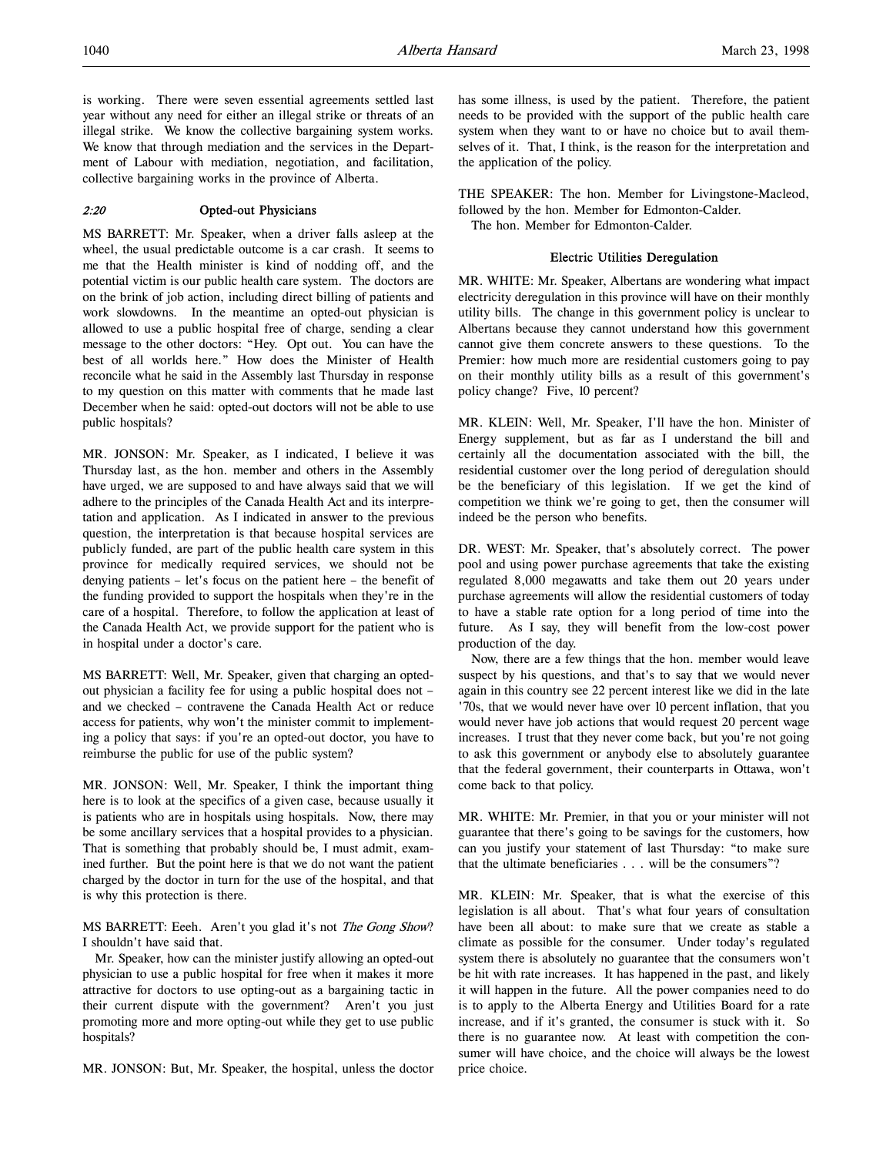is working. There were seven essential agreements settled last year without any need for either an illegal strike or threats of an illegal strike. We know the collective bargaining system works. We know that through mediation and the services in the Department of Labour with mediation, negotiation, and facilitation, collective bargaining works in the province of Alberta.

# 2:20 Opted-out Physicians

MS BARRETT: Mr. Speaker, when a driver falls asleep at the wheel, the usual predictable outcome is a car crash. It seems to me that the Health minister is kind of nodding off, and the potential victim is our public health care system. The doctors are on the brink of job action, including direct billing of patients and work slowdowns. In the meantime an opted-out physician is allowed to use a public hospital free of charge, sending a clear message to the other doctors: "Hey. Opt out. You can have the best of all worlds here." How does the Minister of Health reconcile what he said in the Assembly last Thursday in response to my question on this matter with comments that he made last December when he said: opted-out doctors will not be able to use public hospitals?

MR. JONSON: Mr. Speaker, as I indicated, I believe it was Thursday last, as the hon. member and others in the Assembly have urged, we are supposed to and have always said that we will adhere to the principles of the Canada Health Act and its interpretation and application. As I indicated in answer to the previous question, the interpretation is that because hospital services are publicly funded, are part of the public health care system in this province for medically required services, we should not be denying patients – let's focus on the patient here – the benefit of the funding provided to support the hospitals when they're in the care of a hospital. Therefore, to follow the application at least of the Canada Health Act, we provide support for the patient who is in hospital under a doctor's care.

MS BARRETT: Well, Mr. Speaker, given that charging an optedout physician a facility fee for using a public hospital does not – and we checked – contravene the Canada Health Act or reduce access for patients, why won't the minister commit to implementing a policy that says: if you're an opted-out doctor, you have to reimburse the public for use of the public system?

MR. JONSON: Well, Mr. Speaker, I think the important thing here is to look at the specifics of a given case, because usually it is patients who are in hospitals using hospitals. Now, there may be some ancillary services that a hospital provides to a physician. That is something that probably should be, I must admit, examined further. But the point here is that we do not want the patient charged by the doctor in turn for the use of the hospital, and that is why this protection is there.

MS BARRETT: Eeeh. Aren't you glad it's not *The Gong Show*? I shouldn't have said that.

Mr. Speaker, how can the minister justify allowing an opted-out physician to use a public hospital for free when it makes it more attractive for doctors to use opting-out as a bargaining tactic in their current dispute with the government? Aren't you just promoting more and more opting-out while they get to use public hospitals?

MR. JONSON: But, Mr. Speaker, the hospital, unless the doctor

has some illness, is used by the patient. Therefore, the patient needs to be provided with the support of the public health care system when they want to or have no choice but to avail themselves of it. That, I think, is the reason for the interpretation and the application of the policy.

THE SPEAKER: The hon. Member for Livingstone-Macleod, followed by the hon. Member for Edmonton-Calder.

The hon. Member for Edmonton-Calder.

#### Electric Utilities Deregulation

MR. WHITE: Mr. Speaker, Albertans are wondering what impact electricity deregulation in this province will have on their monthly utility bills. The change in this government policy is unclear to Albertans because they cannot understand how this government cannot give them concrete answers to these questions. To the Premier: how much more are residential customers going to pay on their monthly utility bills as a result of this government's policy change? Five, 10 percent?

MR. KLEIN: Well, Mr. Speaker, I'll have the hon. Minister of Energy supplement, but as far as I understand the bill and certainly all the documentation associated with the bill, the residential customer over the long period of deregulation should be the beneficiary of this legislation. If we get the kind of competition we think we're going to get, then the consumer will indeed be the person who benefits.

DR. WEST: Mr. Speaker, that's absolutely correct. The power pool and using power purchase agreements that take the existing regulated 8,000 megawatts and take them out 20 years under purchase agreements will allow the residential customers of today to have a stable rate option for a long period of time into the future. As I say, they will benefit from the low-cost power production of the day.

Now, there are a few things that the hon. member would leave suspect by his questions, and that's to say that we would never again in this country see 22 percent interest like we did in the late '70s, that we would never have over 10 percent inflation, that you would never have job actions that would request 20 percent wage increases. I trust that they never come back, but you're not going to ask this government or anybody else to absolutely guarantee that the federal government, their counterparts in Ottawa, won't come back to that policy.

MR. WHITE: Mr. Premier, in that you or your minister will not guarantee that there's going to be savings for the customers, how can you justify your statement of last Thursday: "to make sure that the ultimate beneficiaries . . . will be the consumers"?

MR. KLEIN: Mr. Speaker, that is what the exercise of this legislation is all about. That's what four years of consultation have been all about: to make sure that we create as stable a climate as possible for the consumer. Under today's regulated system there is absolutely no guarantee that the consumers won't be hit with rate increases. It has happened in the past, and likely it will happen in the future. All the power companies need to do is to apply to the Alberta Energy and Utilities Board for a rate increase, and if it's granted, the consumer is stuck with it. So there is no guarantee now. At least with competition the consumer will have choice, and the choice will always be the lowest price choice.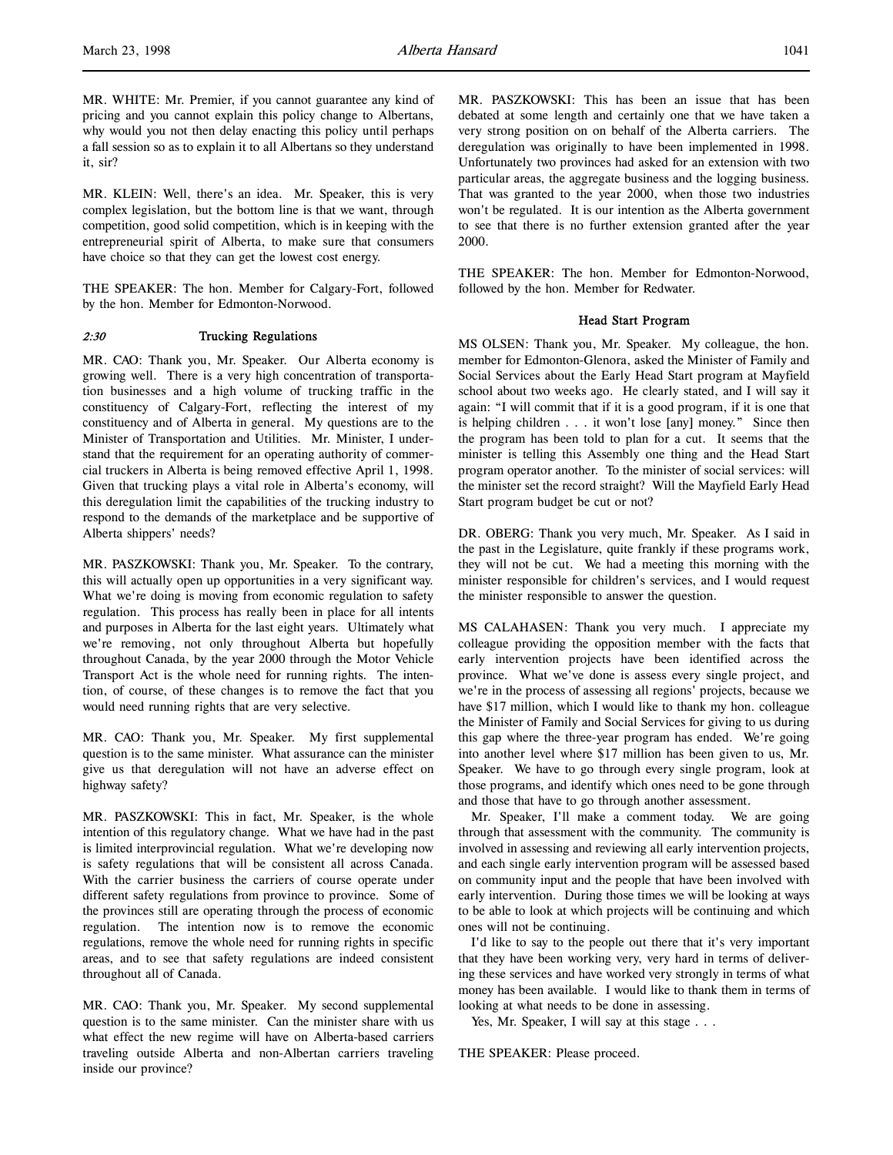MR. WHITE: Mr. Premier, if you cannot guarantee any kind of pricing and you cannot explain this policy change to Albertans, why would you not then delay enacting this policy until perhaps a fall session so as to explain it to all Albertans so they understand it, sir?

MR. KLEIN: Well, there's an idea. Mr. Speaker, this is very complex legislation, but the bottom line is that we want, through competition, good solid competition, which is in keeping with the entrepreneurial spirit of Alberta, to make sure that consumers have choice so that they can get the lowest cost energy.

THE SPEAKER: The hon. Member for Calgary-Fort, followed by the hon. Member for Edmonton-Norwood.

# 2:30 Trucking Regulations

MR. CAO: Thank you, Mr. Speaker. Our Alberta economy is growing well. There is a very high concentration of transportation businesses and a high volume of trucking traffic in the constituency of Calgary-Fort, reflecting the interest of my constituency and of Alberta in general. My questions are to the Minister of Transportation and Utilities. Mr. Minister, I understand that the requirement for an operating authority of commercial truckers in Alberta is being removed effective April 1, 1998. Given that trucking plays a vital role in Alberta's economy, will this deregulation limit the capabilities of the trucking industry to respond to the demands of the marketplace and be supportive of Alberta shippers' needs?

MR. PASZKOWSKI: Thank you, Mr. Speaker. To the contrary, this will actually open up opportunities in a very significant way. What we're doing is moving from economic regulation to safety regulation. This process has really been in place for all intents and purposes in Alberta for the last eight years. Ultimately what we're removing, not only throughout Alberta but hopefully throughout Canada, by the year 2000 through the Motor Vehicle Transport Act is the whole need for running rights. The intention, of course, of these changes is to remove the fact that you would need running rights that are very selective.

MR. CAO: Thank you, Mr. Speaker. My first supplemental question is to the same minister. What assurance can the minister give us that deregulation will not have an adverse effect on highway safety?

MR. PASZKOWSKI: This in fact, Mr. Speaker, is the whole intention of this regulatory change. What we have had in the past is limited interprovincial regulation. What we're developing now is safety regulations that will be consistent all across Canada. With the carrier business the carriers of course operate under different safety regulations from province to province. Some of the provinces still are operating through the process of economic regulation. The intention now is to remove the economic regulations, remove the whole need for running rights in specific areas, and to see that safety regulations are indeed consistent throughout all of Canada.

MR. CAO: Thank you, Mr. Speaker. My second supplemental question is to the same minister. Can the minister share with us what effect the new regime will have on Alberta-based carriers traveling outside Alberta and non-Albertan carriers traveling inside our province?

MR. PASZKOWSKI: This has been an issue that has been debated at some length and certainly one that we have taken a very strong position on on behalf of the Alberta carriers. The deregulation was originally to have been implemented in 1998. Unfortunately two provinces had asked for an extension with two particular areas, the aggregate business and the logging business. That was granted to the year 2000, when those two industries won't be regulated. It is our intention as the Alberta government to see that there is no further extension granted after the year 2000.

THE SPEAKER: The hon. Member for Edmonton-Norwood, followed by the hon. Member for Redwater.

### Head Start Program

MS OLSEN: Thank you, Mr. Speaker. My colleague, the hon. member for Edmonton-Glenora, asked the Minister of Family and Social Services about the Early Head Start program at Mayfield school about two weeks ago. He clearly stated, and I will say it again: "I will commit that if it is a good program, if it is one that is helping children . . . it won't lose [any] money." Since then the program has been told to plan for a cut. It seems that the minister is telling this Assembly one thing and the Head Start program operator another. To the minister of social services: will the minister set the record straight? Will the Mayfield Early Head Start program budget be cut or not?

DR. OBERG: Thank you very much, Mr. Speaker. As I said in the past in the Legislature, quite frankly if these programs work, they will not be cut. We had a meeting this morning with the minister responsible for children's services, and I would request the minister responsible to answer the question.

MS CALAHASEN: Thank you very much. I appreciate my colleague providing the opposition member with the facts that early intervention projects have been identified across the province. What we've done is assess every single project, and we're in the process of assessing all regions' projects, because we have \$17 million, which I would like to thank my hon. colleague the Minister of Family and Social Services for giving to us during this gap where the three-year program has ended. We're going into another level where \$17 million has been given to us, Mr. Speaker. We have to go through every single program, look at those programs, and identify which ones need to be gone through and those that have to go through another assessment.

Mr. Speaker, I'll make a comment today. We are going through that assessment with the community. The community is involved in assessing and reviewing all early intervention projects, and each single early intervention program will be assessed based on community input and the people that have been involved with early intervention. During those times we will be looking at ways to be able to look at which projects will be continuing and which ones will not be continuing.

I'd like to say to the people out there that it's very important that they have been working very, very hard in terms of delivering these services and have worked very strongly in terms of what money has been available. I would like to thank them in terms of looking at what needs to be done in assessing.

Yes, Mr. Speaker, I will say at this stage . . .

THE SPEAKER: Please proceed.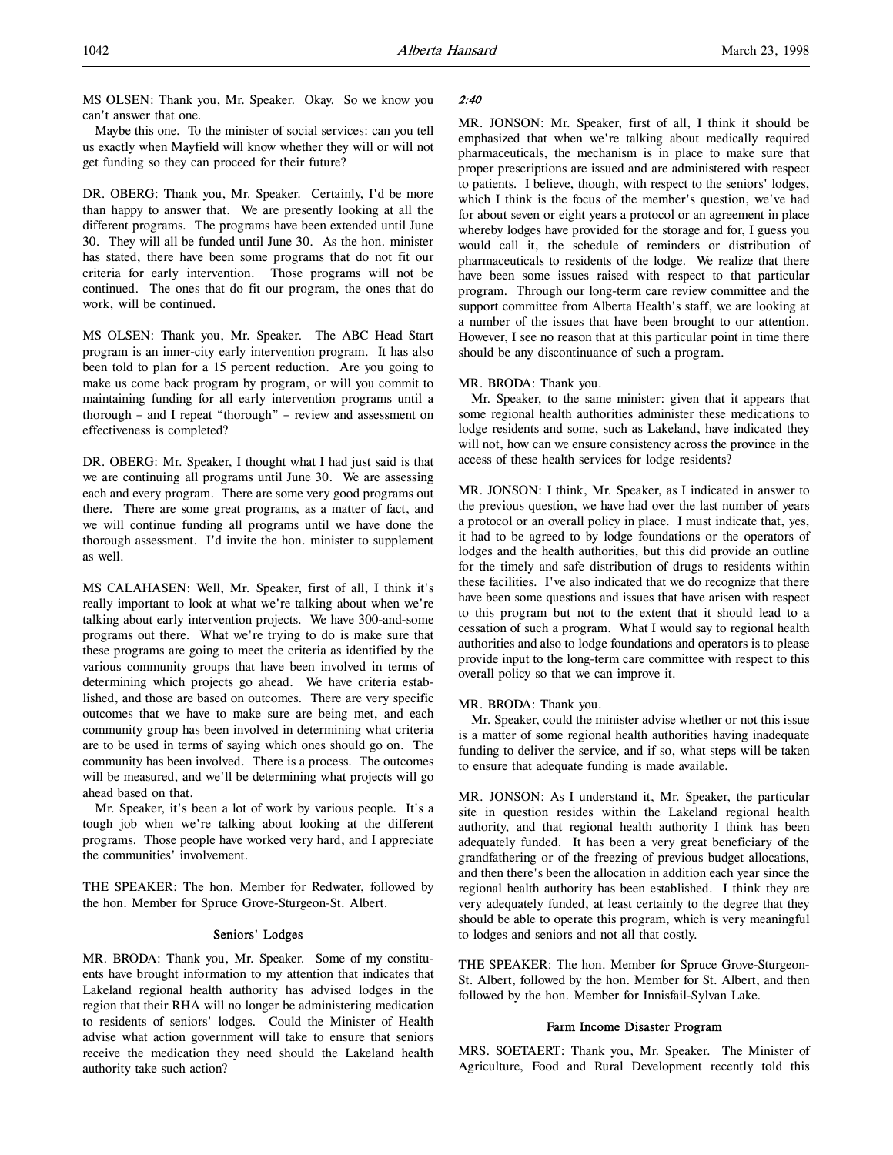MS OLSEN: Thank you, Mr. Speaker. Okay. So we know you can't answer that one.

Maybe this one. To the minister of social services: can you tell us exactly when Mayfield will know whether they will or will not get funding so they can proceed for their future?

DR. OBERG: Thank you, Mr. Speaker. Certainly, I'd be more than happy to answer that. We are presently looking at all the different programs. The programs have been extended until June 30. They will all be funded until June 30. As the hon. minister has stated, there have been some programs that do not fit our criteria for early intervention. Those programs will not be continued. The ones that do fit our program, the ones that do work, will be continued.

MS OLSEN: Thank you, Mr. Speaker. The ABC Head Start program is an inner-city early intervention program. It has also been told to plan for a 15 percent reduction. Are you going to make us come back program by program, or will you commit to maintaining funding for all early intervention programs until a thorough – and I repeat "thorough" – review and assessment on effectiveness is completed?

DR. OBERG: Mr. Speaker, I thought what I had just said is that we are continuing all programs until June 30. We are assessing each and every program. There are some very good programs out there. There are some great programs, as a matter of fact, and we will continue funding all programs until we have done the thorough assessment. I'd invite the hon. minister to supplement as well.

MS CALAHASEN: Well, Mr. Speaker, first of all, I think it's really important to look at what we're talking about when we're talking about early intervention projects. We have 300-and-some programs out there. What we're trying to do is make sure that these programs are going to meet the criteria as identified by the various community groups that have been involved in terms of determining which projects go ahead. We have criteria established, and those are based on outcomes. There are very specific outcomes that we have to make sure are being met, and each community group has been involved in determining what criteria are to be used in terms of saying which ones should go on. The community has been involved. There is a process. The outcomes will be measured, and we'll be determining what projects will go ahead based on that.

Mr. Speaker, it's been a lot of work by various people. It's a tough job when we're talking about looking at the different programs. Those people have worked very hard, and I appreciate the communities' involvement.

THE SPEAKER: The hon. Member for Redwater, followed by the hon. Member for Spruce Grove-Sturgeon-St. Albert.

## Seniors' Lodges

MR. BRODA: Thank you, Mr. Speaker. Some of my constituents have brought information to my attention that indicates that Lakeland regional health authority has advised lodges in the region that their RHA will no longer be administering medication to residents of seniors' lodges. Could the Minister of Health advise what action government will take to ensure that seniors receive the medication they need should the Lakeland health authority take such action?

#### 2:40

MR. JONSON: Mr. Speaker, first of all, I think it should be emphasized that when we're talking about medically required pharmaceuticals, the mechanism is in place to make sure that proper prescriptions are issued and are administered with respect to patients. I believe, though, with respect to the seniors' lodges, which I think is the focus of the member's question, we've had for about seven or eight years a protocol or an agreement in place whereby lodges have provided for the storage and for, I guess you would call it, the schedule of reminders or distribution of pharmaceuticals to residents of the lodge. We realize that there have been some issues raised with respect to that particular program. Through our long-term care review committee and the support committee from Alberta Health's staff, we are looking at a number of the issues that have been brought to our attention. However, I see no reason that at this particular point in time there should be any discontinuance of such a program.

#### MR. BRODA: Thank you.

Mr. Speaker, to the same minister: given that it appears that some regional health authorities administer these medications to lodge residents and some, such as Lakeland, have indicated they will not, how can we ensure consistency across the province in the access of these health services for lodge residents?

MR. JONSON: I think, Mr. Speaker, as I indicated in answer to the previous question, we have had over the last number of years a protocol or an overall policy in place. I must indicate that, yes, it had to be agreed to by lodge foundations or the operators of lodges and the health authorities, but this did provide an outline for the timely and safe distribution of drugs to residents within these facilities. I've also indicated that we do recognize that there have been some questions and issues that have arisen with respect to this program but not to the extent that it should lead to a cessation of such a program. What I would say to regional health authorities and also to lodge foundations and operators is to please provide input to the long-term care committee with respect to this overall policy so that we can improve it.

MR. BRODA: Thank you.

Mr. Speaker, could the minister advise whether or not this issue is a matter of some regional health authorities having inadequate funding to deliver the service, and if so, what steps will be taken to ensure that adequate funding is made available.

MR. JONSON: As I understand it, Mr. Speaker, the particular site in question resides within the Lakeland regional health authority, and that regional health authority I think has been adequately funded. It has been a very great beneficiary of the grandfathering or of the freezing of previous budget allocations, and then there's been the allocation in addition each year since the regional health authority has been established. I think they are very adequately funded, at least certainly to the degree that they should be able to operate this program, which is very meaningful to lodges and seniors and not all that costly.

THE SPEAKER: The hon. Member for Spruce Grove-Sturgeon-St. Albert, followed by the hon. Member for St. Albert, and then followed by the hon. Member for Innisfail-Sylvan Lake.

## Farm Income Disaster Program

MRS. SOETAERT: Thank you, Mr. Speaker. The Minister of Agriculture, Food and Rural Development recently told this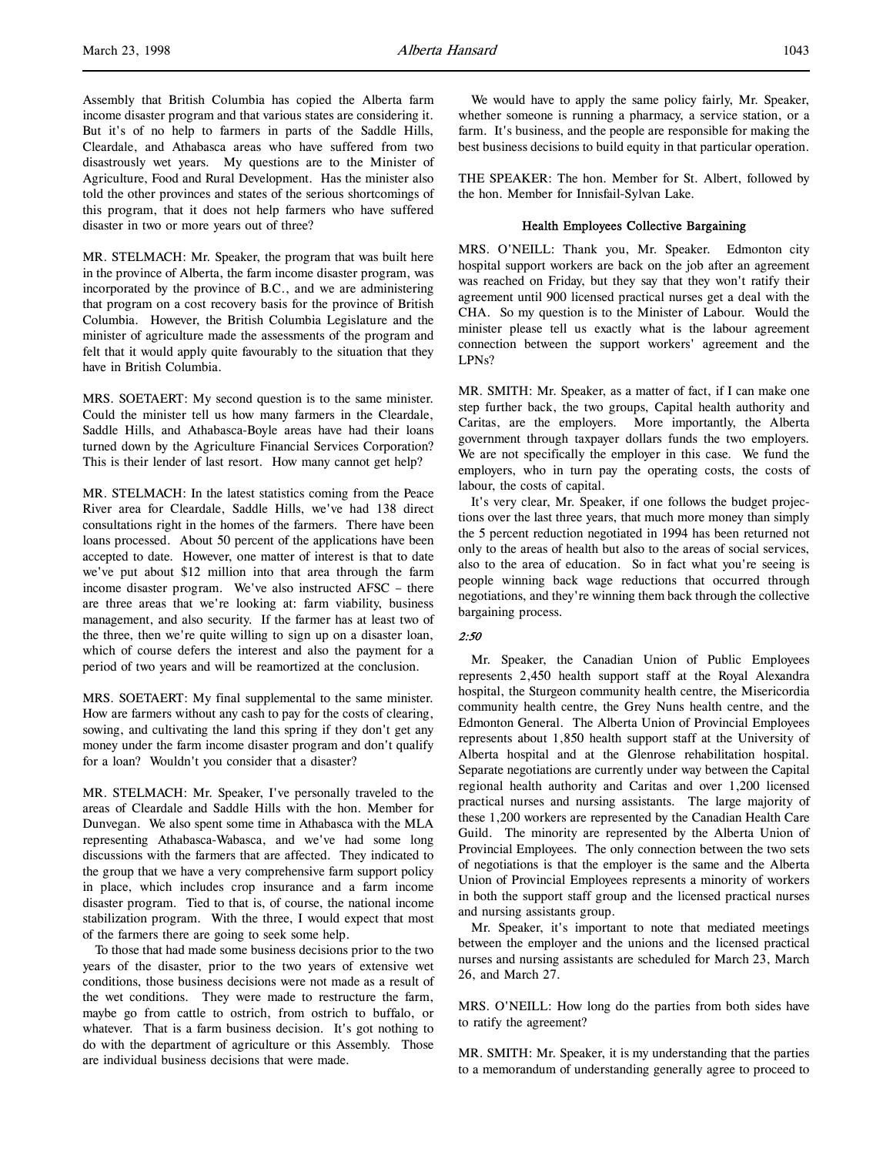Assembly that British Columbia has copied the Alberta farm income disaster program and that various states are considering it. But it's of no help to farmers in parts of the Saddle Hills, Cleardale, and Athabasca areas who have suffered from two disastrously wet years. My questions are to the Minister of Agriculture, Food and Rural Development. Has the minister also told the other provinces and states of the serious shortcomings of this program, that it does not help farmers who have suffered disaster in two or more years out of three?

MR. STELMACH: Mr. Speaker, the program that was built here in the province of Alberta, the farm income disaster program, was incorporated by the province of B.C., and we are administering that program on a cost recovery basis for the province of British Columbia. However, the British Columbia Legislature and the minister of agriculture made the assessments of the program and felt that it would apply quite favourably to the situation that they have in British Columbia.

MRS. SOETAERT: My second question is to the same minister. Could the minister tell us how many farmers in the Cleardale, Saddle Hills, and Athabasca-Boyle areas have had their loans turned down by the Agriculture Financial Services Corporation? This is their lender of last resort. How many cannot get help?

MR. STELMACH: In the latest statistics coming from the Peace River area for Cleardale, Saddle Hills, we've had 138 direct consultations right in the homes of the farmers. There have been loans processed. About 50 percent of the applications have been accepted to date. However, one matter of interest is that to date we've put about \$12 million into that area through the farm income disaster program. We've also instructed AFSC – there are three areas that we're looking at: farm viability, business management, and also security. If the farmer has at least two of the three, then we're quite willing to sign up on a disaster loan, which of course defers the interest and also the payment for a period of two years and will be reamortized at the conclusion.

MRS. SOETAERT: My final supplemental to the same minister. How are farmers without any cash to pay for the costs of clearing, sowing, and cultivating the land this spring if they don't get any money under the farm income disaster program and don't qualify for a loan? Wouldn't you consider that a disaster?

MR. STELMACH: Mr. Speaker, I've personally traveled to the areas of Cleardale and Saddle Hills with the hon. Member for Dunvegan. We also spent some time in Athabasca with the MLA representing Athabasca-Wabasca, and we've had some long discussions with the farmers that are affected. They indicated to the group that we have a very comprehensive farm support policy in place, which includes crop insurance and a farm income disaster program. Tied to that is, of course, the national income stabilization program. With the three, I would expect that most of the farmers there are going to seek some help.

To those that had made some business decisions prior to the two years of the disaster, prior to the two years of extensive wet conditions, those business decisions were not made as a result of the wet conditions. They were made to restructure the farm, maybe go from cattle to ostrich, from ostrich to buffalo, or whatever. That is a farm business decision. It's got nothing to do with the department of agriculture or this Assembly. Those are individual business decisions that were made.

We would have to apply the same policy fairly, Mr. Speaker, whether someone is running a pharmacy, a service station, or a farm. It's business, and the people are responsible for making the best business decisions to build equity in that particular operation.

THE SPEAKER: The hon. Member for St. Albert, followed by the hon. Member for Innisfail-Sylvan Lake.

## Health Employees Collective Bargaining

MRS. O'NEILL: Thank you, Mr. Speaker. Edmonton city hospital support workers are back on the job after an agreement was reached on Friday, but they say that they won't ratify their agreement until 900 licensed practical nurses get a deal with the CHA. So my question is to the Minister of Labour. Would the minister please tell us exactly what is the labour agreement connection between the support workers' agreement and the LPNs?

MR. SMITH: Mr. Speaker, as a matter of fact, if I can make one step further back, the two groups, Capital health authority and Caritas, are the employers. More importantly, the Alberta government through taxpayer dollars funds the two employers. We are not specifically the employer in this case. We fund the employers, who in turn pay the operating costs, the costs of labour, the costs of capital.

It's very clear, Mr. Speaker, if one follows the budget projections over the last three years, that much more money than simply the 5 percent reduction negotiated in 1994 has been returned not only to the areas of health but also to the areas of social services, also to the area of education. So in fact what you're seeing is people winning back wage reductions that occurred through negotiations, and they're winning them back through the collective bargaining process.

#### 2:50

Mr. Speaker, the Canadian Union of Public Employees represents 2,450 health support staff at the Royal Alexandra hospital, the Sturgeon community health centre, the Misericordia community health centre, the Grey Nuns health centre, and the Edmonton General. The Alberta Union of Provincial Employees represents about 1,850 health support staff at the University of Alberta hospital and at the Glenrose rehabilitation hospital. Separate negotiations are currently under way between the Capital regional health authority and Caritas and over 1,200 licensed practical nurses and nursing assistants. The large majority of these 1,200 workers are represented by the Canadian Health Care Guild. The minority are represented by the Alberta Union of Provincial Employees. The only connection between the two sets of negotiations is that the employer is the same and the Alberta Union of Provincial Employees represents a minority of workers in both the support staff group and the licensed practical nurses and nursing assistants group.

Mr. Speaker, it's important to note that mediated meetings between the employer and the unions and the licensed practical nurses and nursing assistants are scheduled for March 23, March 26, and March 27.

MRS. O'NEILL: How long do the parties from both sides have to ratify the agreement?

MR. SMITH: Mr. Speaker, it is my understanding that the parties to a memorandum of understanding generally agree to proceed to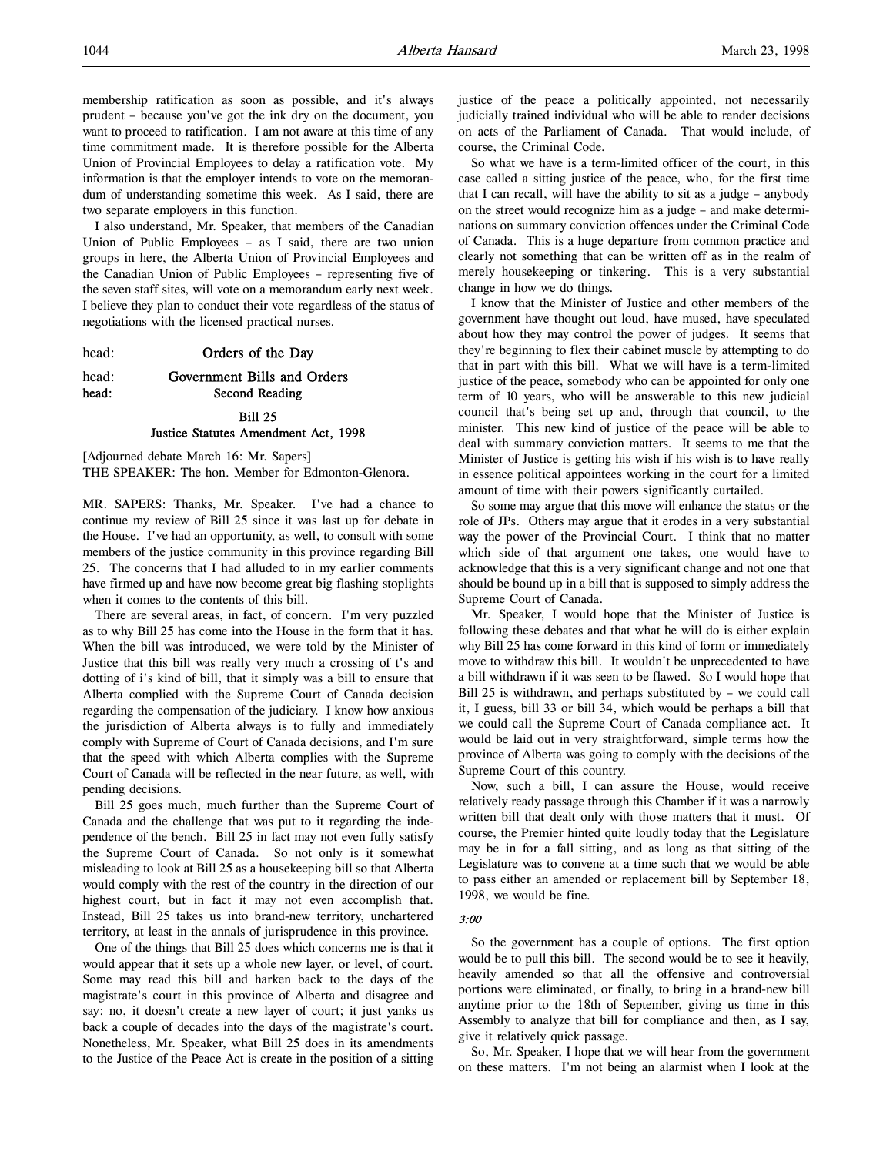membership ratification as soon as possible, and it's always prudent – because you've got the ink dry on the document, you want to proceed to ratification. I am not aware at this time of any time commitment made. It is therefore possible for the Alberta Union of Provincial Employees to delay a ratification vote. My information is that the employer intends to vote on the memorandum of understanding sometime this week. As I said, there are two separate employers in this function.

I also understand, Mr. Speaker, that members of the Canadian Union of Public Employees – as I said, there are two union groups in here, the Alberta Union of Provincial Employees and the Canadian Union of Public Employees – representing five of the seven staff sites, will vote on a memorandum early next week. I believe they plan to conduct their vote regardless of the status of negotiations with the licensed practical nurses.

head: **Orders of the Day** 

head: Government Bills and Orders head: Second Reading

# Bill 25 Justice Statutes Amendment Act, 1998

[Adjourned debate March 16: Mr. Sapers] THE SPEAKER: The hon. Member for Edmonton-Glenora.

MR. SAPERS: Thanks, Mr. Speaker. I've had a chance to continue my review of Bill 25 since it was last up for debate in the House. I've had an opportunity, as well, to consult with some members of the justice community in this province regarding Bill 25. The concerns that I had alluded to in my earlier comments have firmed up and have now become great big flashing stoplights when it comes to the contents of this bill.

There are several areas, in fact, of concern. I'm very puzzled as to why Bill 25 has come into the House in the form that it has. When the bill was introduced, we were told by the Minister of Justice that this bill was really very much a crossing of t's and dotting of i's kind of bill, that it simply was a bill to ensure that Alberta complied with the Supreme Court of Canada decision regarding the compensation of the judiciary. I know how anxious the jurisdiction of Alberta always is to fully and immediately comply with Supreme of Court of Canada decisions, and I'm sure that the speed with which Alberta complies with the Supreme Court of Canada will be reflected in the near future, as well, with pending decisions.

Bill 25 goes much, much further than the Supreme Court of Canada and the challenge that was put to it regarding the independence of the bench. Bill 25 in fact may not even fully satisfy the Supreme Court of Canada. So not only is it somewhat misleading to look at Bill 25 as a housekeeping bill so that Alberta would comply with the rest of the country in the direction of our highest court, but in fact it may not even accomplish that. Instead, Bill 25 takes us into brand-new territory, unchartered territory, at least in the annals of jurisprudence in this province.

One of the things that Bill 25 does which concerns me is that it would appear that it sets up a whole new layer, or level, of court. Some may read this bill and harken back to the days of the magistrate's court in this province of Alberta and disagree and say: no, it doesn't create a new layer of court; it just yanks us back a couple of decades into the days of the magistrate's court. Nonetheless, Mr. Speaker, what Bill 25 does in its amendments to the Justice of the Peace Act is create in the position of a sitting

justice of the peace a politically appointed, not necessarily judicially trained individual who will be able to render decisions on acts of the Parliament of Canada. That would include, of course, the Criminal Code.

So what we have is a term-limited officer of the court, in this case called a sitting justice of the peace, who, for the first time that I can recall, will have the ability to sit as a judge – anybody on the street would recognize him as a judge – and make determinations on summary conviction offences under the Criminal Code of Canada. This is a huge departure from common practice and clearly not something that can be written off as in the realm of merely housekeeping or tinkering. This is a very substantial change in how we do things.

I know that the Minister of Justice and other members of the government have thought out loud, have mused, have speculated about how they may control the power of judges. It seems that they're beginning to flex their cabinet muscle by attempting to do that in part with this bill. What we will have is a term-limited justice of the peace, somebody who can be appointed for only one term of 10 years, who will be answerable to this new judicial council that's being set up and, through that council, to the minister. This new kind of justice of the peace will be able to deal with summary conviction matters. It seems to me that the Minister of Justice is getting his wish if his wish is to have really in essence political appointees working in the court for a limited amount of time with their powers significantly curtailed.

So some may argue that this move will enhance the status or the role of JPs. Others may argue that it erodes in a very substantial way the power of the Provincial Court. I think that no matter which side of that argument one takes, one would have to acknowledge that this is a very significant change and not one that should be bound up in a bill that is supposed to simply address the Supreme Court of Canada.

Mr. Speaker, I would hope that the Minister of Justice is following these debates and that what he will do is either explain why Bill 25 has come forward in this kind of form or immediately move to withdraw this bill. It wouldn't be unprecedented to have a bill withdrawn if it was seen to be flawed. So I would hope that Bill 25 is withdrawn, and perhaps substituted by – we could call it, I guess, bill 33 or bill 34, which would be perhaps a bill that we could call the Supreme Court of Canada compliance act. It would be laid out in very straightforward, simple terms how the province of Alberta was going to comply with the decisions of the Supreme Court of this country.

Now, such a bill, I can assure the House, would receive relatively ready passage through this Chamber if it was a narrowly written bill that dealt only with those matters that it must. Of course, the Premier hinted quite loudly today that the Legislature may be in for a fall sitting, and as long as that sitting of the Legislature was to convene at a time such that we would be able to pass either an amended or replacement bill by September 18, 1998, we would be fine.

#### 3:00

So the government has a couple of options. The first option would be to pull this bill. The second would be to see it heavily, heavily amended so that all the offensive and controversial portions were eliminated, or finally, to bring in a brand-new bill anytime prior to the 18th of September, giving us time in this Assembly to analyze that bill for compliance and then, as I say, give it relatively quick passage.

So, Mr. Speaker, I hope that we will hear from the government on these matters. I'm not being an alarmist when I look at the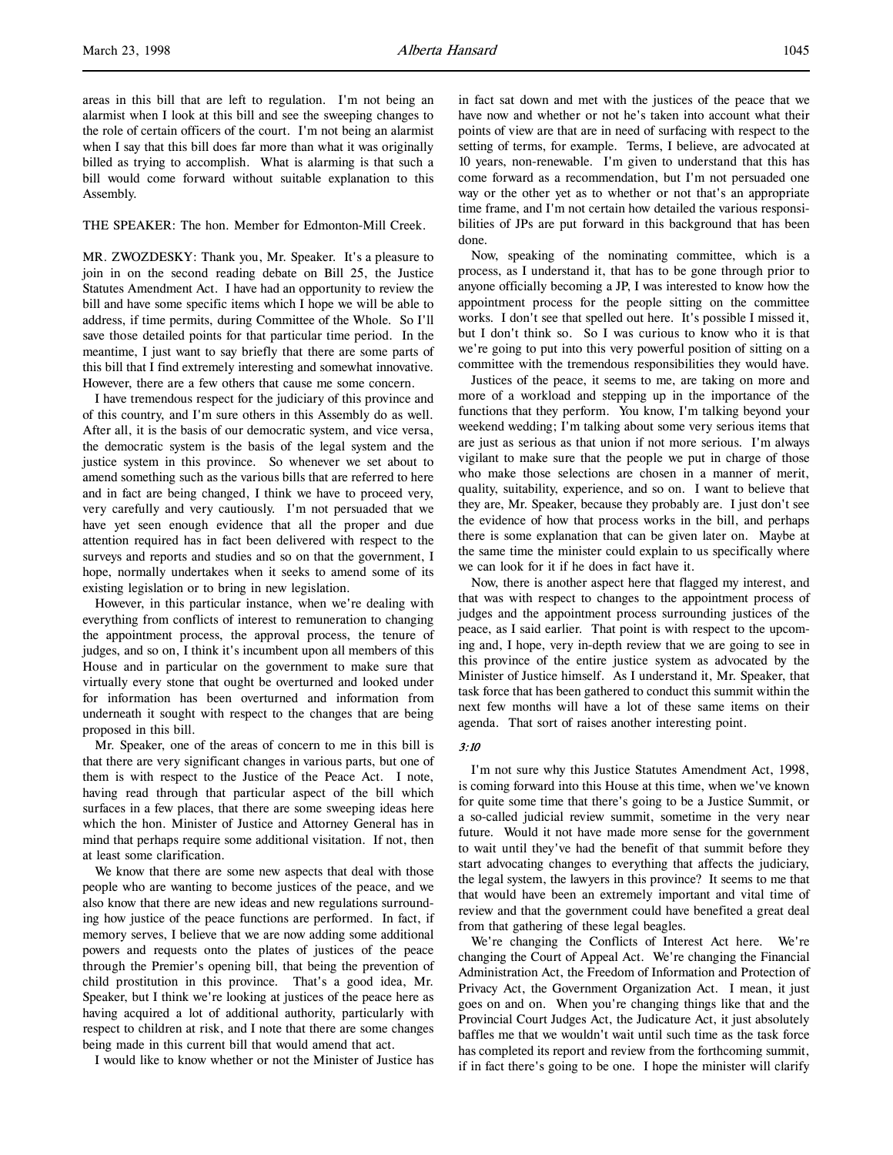areas in this bill that are left to regulation. I'm not being an alarmist when I look at this bill and see the sweeping changes to the role of certain officers of the court. I'm not being an alarmist when I say that this bill does far more than what it was originally billed as trying to accomplish. What is alarming is that such a bill would come forward without suitable explanation to this Assembly.

#### THE SPEAKER: The hon. Member for Edmonton-Mill Creek.

MR. ZWOZDESKY: Thank you, Mr. Speaker. It's a pleasure to join in on the second reading debate on Bill 25, the Justice Statutes Amendment Act. I have had an opportunity to review the bill and have some specific items which I hope we will be able to address, if time permits, during Committee of the Whole. So I'll save those detailed points for that particular time period. In the meantime, I just want to say briefly that there are some parts of this bill that I find extremely interesting and somewhat innovative. However, there are a few others that cause me some concern.

I have tremendous respect for the judiciary of this province and of this country, and I'm sure others in this Assembly do as well. After all, it is the basis of our democratic system, and vice versa, the democratic system is the basis of the legal system and the justice system in this province. So whenever we set about to amend something such as the various bills that are referred to here and in fact are being changed, I think we have to proceed very, very carefully and very cautiously. I'm not persuaded that we have yet seen enough evidence that all the proper and due attention required has in fact been delivered with respect to the surveys and reports and studies and so on that the government, I hope, normally undertakes when it seeks to amend some of its existing legislation or to bring in new legislation.

However, in this particular instance, when we're dealing with everything from conflicts of interest to remuneration to changing the appointment process, the approval process, the tenure of judges, and so on, I think it's incumbent upon all members of this House and in particular on the government to make sure that virtually every stone that ought be overturned and looked under for information has been overturned and information from underneath it sought with respect to the changes that are being proposed in this bill.

Mr. Speaker, one of the areas of concern to me in this bill is that there are very significant changes in various parts, but one of them is with respect to the Justice of the Peace Act. I note, having read through that particular aspect of the bill which surfaces in a few places, that there are some sweeping ideas here which the hon. Minister of Justice and Attorney General has in mind that perhaps require some additional visitation. If not, then at least some clarification.

We know that there are some new aspects that deal with those people who are wanting to become justices of the peace, and we also know that there are new ideas and new regulations surrounding how justice of the peace functions are performed. In fact, if memory serves, I believe that we are now adding some additional powers and requests onto the plates of justices of the peace through the Premier's opening bill, that being the prevention of child prostitution in this province. That's a good idea, Mr. Speaker, but I think we're looking at justices of the peace here as having acquired a lot of additional authority, particularly with respect to children at risk, and I note that there are some changes being made in this current bill that would amend that act.

I would like to know whether or not the Minister of Justice has

in fact sat down and met with the justices of the peace that we have now and whether or not he's taken into account what their points of view are that are in need of surfacing with respect to the setting of terms, for example. Terms, I believe, are advocated at 10 years, non-renewable. I'm given to understand that this has come forward as a recommendation, but I'm not persuaded one way or the other yet as to whether or not that's an appropriate time frame, and I'm not certain how detailed the various responsibilities of JPs are put forward in this background that has been done.

Now, speaking of the nominating committee, which is a process, as I understand it, that has to be gone through prior to anyone officially becoming a JP, I was interested to know how the appointment process for the people sitting on the committee works. I don't see that spelled out here. It's possible I missed it, but I don't think so. So I was curious to know who it is that we're going to put into this very powerful position of sitting on a committee with the tremendous responsibilities they would have.

Justices of the peace, it seems to me, are taking on more and more of a workload and stepping up in the importance of the functions that they perform. You know, I'm talking beyond your weekend wedding; I'm talking about some very serious items that are just as serious as that union if not more serious. I'm always vigilant to make sure that the people we put in charge of those who make those selections are chosen in a manner of merit, quality, suitability, experience, and so on. I want to believe that they are, Mr. Speaker, because they probably are. I just don't see the evidence of how that process works in the bill, and perhaps there is some explanation that can be given later on. Maybe at the same time the minister could explain to us specifically where we can look for it if he does in fact have it.

Now, there is another aspect here that flagged my interest, and that was with respect to changes to the appointment process of judges and the appointment process surrounding justices of the peace, as I said earlier. That point is with respect to the upcoming and, I hope, very in-depth review that we are going to see in this province of the entire justice system as advocated by the Minister of Justice himself. As I understand it, Mr. Speaker, that task force that has been gathered to conduct this summit within the next few months will have a lot of these same items on their agenda. That sort of raises another interesting point.

# 3:10

I'm not sure why this Justice Statutes Amendment Act, 1998, is coming forward into this House at this time, when we've known for quite some time that there's going to be a Justice Summit, or a so-called judicial review summit, sometime in the very near future. Would it not have made more sense for the government to wait until they've had the benefit of that summit before they start advocating changes to everything that affects the judiciary, the legal system, the lawyers in this province? It seems to me that that would have been an extremely important and vital time of review and that the government could have benefited a great deal from that gathering of these legal beagles.

We're changing the Conflicts of Interest Act here. We're changing the Court of Appeal Act. We're changing the Financial Administration Act, the Freedom of Information and Protection of Privacy Act, the Government Organization Act. I mean, it just goes on and on. When you're changing things like that and the Provincial Court Judges Act, the Judicature Act, it just absolutely baffles me that we wouldn't wait until such time as the task force has completed its report and review from the forthcoming summit, if in fact there's going to be one. I hope the minister will clarify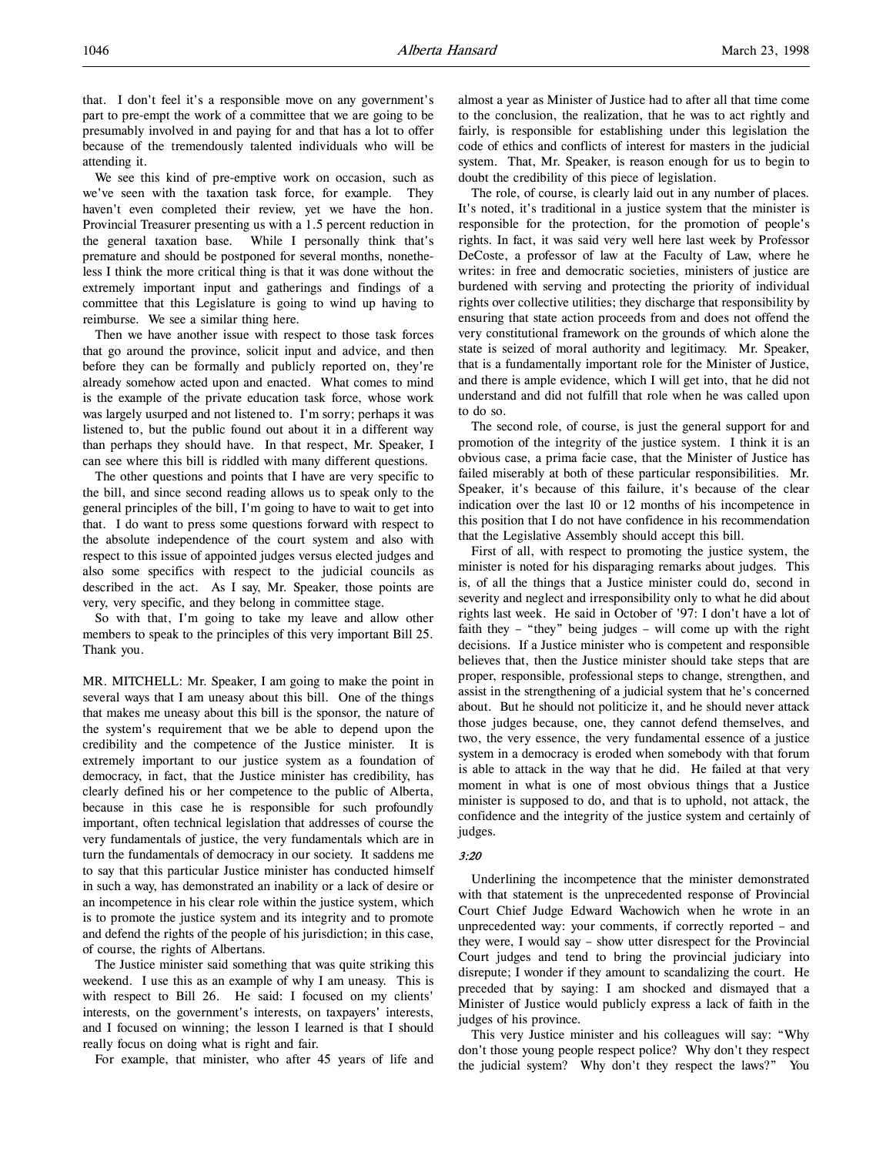that. I don't feel it's a responsible move on any government's part to pre-empt the work of a committee that we are going to be presumably involved in and paying for and that has a lot to offer because of the tremendously talented individuals who will be attending it.

We see this kind of pre-emptive work on occasion, such as we've seen with the taxation task force, for example. They haven't even completed their review, yet we have the hon. Provincial Treasurer presenting us with a 1.5 percent reduction in the general taxation base. While I personally think that's premature and should be postponed for several months, nonetheless I think the more critical thing is that it was done without the extremely important input and gatherings and findings of a committee that this Legislature is going to wind up having to reimburse. We see a similar thing here.

Then we have another issue with respect to those task forces that go around the province, solicit input and advice, and then before they can be formally and publicly reported on, they're already somehow acted upon and enacted. What comes to mind is the example of the private education task force, whose work was largely usurped and not listened to. I'm sorry; perhaps it was listened to, but the public found out about it in a different way than perhaps they should have. In that respect, Mr. Speaker, I can see where this bill is riddled with many different questions.

The other questions and points that I have are very specific to the bill, and since second reading allows us to speak only to the general principles of the bill, I'm going to have to wait to get into that. I do want to press some questions forward with respect to the absolute independence of the court system and also with respect to this issue of appointed judges versus elected judges and also some specifics with respect to the judicial councils as described in the act. As I say, Mr. Speaker, those points are very, very specific, and they belong in committee stage.

So with that, I'm going to take my leave and allow other members to speak to the principles of this very important Bill 25. Thank you.

MR. MITCHELL: Mr. Speaker, I am going to make the point in several ways that I am uneasy about this bill. One of the things that makes me uneasy about this bill is the sponsor, the nature of the system's requirement that we be able to depend upon the credibility and the competence of the Justice minister. It is extremely important to our justice system as a foundation of democracy, in fact, that the Justice minister has credibility, has clearly defined his or her competence to the public of Alberta, because in this case he is responsible for such profoundly important, often technical legislation that addresses of course the very fundamentals of justice, the very fundamentals which are in turn the fundamentals of democracy in our society. It saddens me to say that this particular Justice minister has conducted himself in such a way, has demonstrated an inability or a lack of desire or an incompetence in his clear role within the justice system, which is to promote the justice system and its integrity and to promote and defend the rights of the people of his jurisdiction; in this case, of course, the rights of Albertans.

The Justice minister said something that was quite striking this weekend. I use this as an example of why I am uneasy. This is with respect to Bill 26. He said: I focused on my clients' interests, on the government's interests, on taxpayers' interests, and I focused on winning; the lesson I learned is that I should really focus on doing what is right and fair.

For example, that minister, who after 45 years of life and

almost a year as Minister of Justice had to after all that time come to the conclusion, the realization, that he was to act rightly and fairly, is responsible for establishing under this legislation the code of ethics and conflicts of interest for masters in the judicial system. That, Mr. Speaker, is reason enough for us to begin to doubt the credibility of this piece of legislation.

The role, of course, is clearly laid out in any number of places. It's noted, it's traditional in a justice system that the minister is responsible for the protection, for the promotion of people's rights. In fact, it was said very well here last week by Professor DeCoste, a professor of law at the Faculty of Law, where he writes: in free and democratic societies, ministers of justice are burdened with serving and protecting the priority of individual rights over collective utilities; they discharge that responsibility by ensuring that state action proceeds from and does not offend the very constitutional framework on the grounds of which alone the state is seized of moral authority and legitimacy. Mr. Speaker, that is a fundamentally important role for the Minister of Justice, and there is ample evidence, which I will get into, that he did not understand and did not fulfill that role when he was called upon to do so.

The second role, of course, is just the general support for and promotion of the integrity of the justice system. I think it is an obvious case, a prima facie case, that the Minister of Justice has failed miserably at both of these particular responsibilities. Mr. Speaker, it's because of this failure, it's because of the clear indication over the last 10 or 12 months of his incompetence in this position that I do not have confidence in his recommendation that the Legislative Assembly should accept this bill.

First of all, with respect to promoting the justice system, the minister is noted for his disparaging remarks about judges. This is, of all the things that a Justice minister could do, second in severity and neglect and irresponsibility only to what he did about rights last week. He said in October of '97: I don't have a lot of faith they – "they" being judges – will come up with the right decisions. If a Justice minister who is competent and responsible believes that, then the Justice minister should take steps that are proper, responsible, professional steps to change, strengthen, and assist in the strengthening of a judicial system that he's concerned about. But he should not politicize it, and he should never attack those judges because, one, they cannot defend themselves, and two, the very essence, the very fundamental essence of a justice system in a democracy is eroded when somebody with that forum is able to attack in the way that he did. He failed at that very moment in what is one of most obvious things that a Justice minister is supposed to do, and that is to uphold, not attack, the confidence and the integrity of the justice system and certainly of judges.

#### 3:20

Underlining the incompetence that the minister demonstrated with that statement is the unprecedented response of Provincial Court Chief Judge Edward Wachowich when he wrote in an unprecedented way: your comments, if correctly reported – and they were, I would say – show utter disrespect for the Provincial Court judges and tend to bring the provincial judiciary into disrepute; I wonder if they amount to scandalizing the court. He preceded that by saying: I am shocked and dismayed that a Minister of Justice would publicly express a lack of faith in the judges of his province.

This very Justice minister and his colleagues will say: "Why don't those young people respect police? Why don't they respect the judicial system? Why don't they respect the laws?" You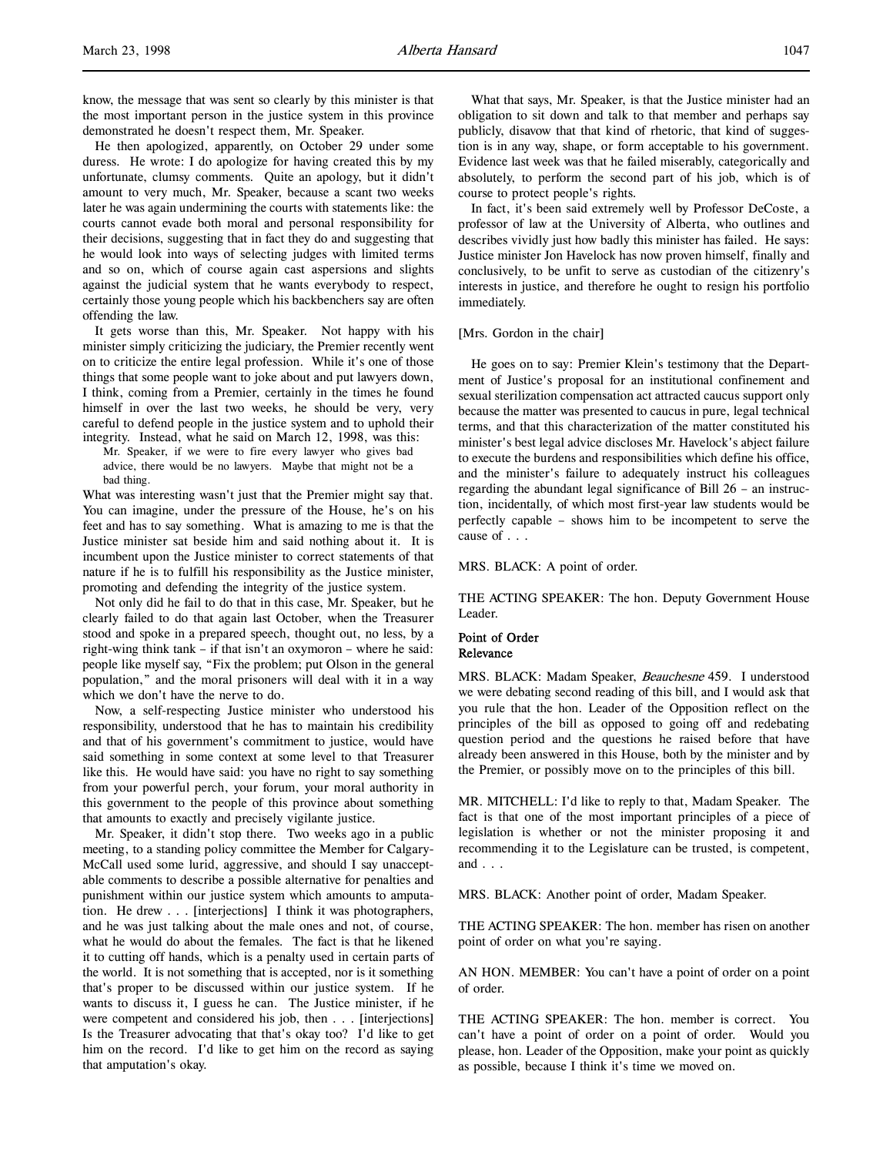know, the message that was sent so clearly by this minister is that the most important person in the justice system in this province demonstrated he doesn't respect them, Mr. Speaker.

He then apologized, apparently, on October 29 under some duress. He wrote: I do apologize for having created this by my unfortunate, clumsy comments. Quite an apology, but it didn't amount to very much, Mr. Speaker, because a scant two weeks later he was again undermining the courts with statements like: the courts cannot evade both moral and personal responsibility for their decisions, suggesting that in fact they do and suggesting that he would look into ways of selecting judges with limited terms and so on, which of course again cast aspersions and slights against the judicial system that he wants everybody to respect, certainly those young people which his backbenchers say are often offending the law.

It gets worse than this, Mr. Speaker. Not happy with his minister simply criticizing the judiciary, the Premier recently went on to criticize the entire legal profession. While it's one of those things that some people want to joke about and put lawyers down, I think, coming from a Premier, certainly in the times he found himself in over the last two weeks, he should be very, very careful to defend people in the justice system and to uphold their integrity. Instead, what he said on March 12, 1998, was this:

Mr. Speaker, if we were to fire every lawyer who gives bad advice, there would be no lawyers. Maybe that might not be a bad thing.

What was interesting wasn't just that the Premier might say that. You can imagine, under the pressure of the House, he's on his feet and has to say something. What is amazing to me is that the Justice minister sat beside him and said nothing about it. It is incumbent upon the Justice minister to correct statements of that nature if he is to fulfill his responsibility as the Justice minister, promoting and defending the integrity of the justice system.

Not only did he fail to do that in this case, Mr. Speaker, but he clearly failed to do that again last October, when the Treasurer stood and spoke in a prepared speech, thought out, no less, by a right-wing think tank – if that isn't an oxymoron – where he said: people like myself say, "Fix the problem; put Olson in the general population," and the moral prisoners will deal with it in a way which we don't have the nerve to do.

Now, a self-respecting Justice minister who understood his responsibility, understood that he has to maintain his credibility and that of his government's commitment to justice, would have said something in some context at some level to that Treasurer like this. He would have said: you have no right to say something from your powerful perch, your forum, your moral authority in this government to the people of this province about something that amounts to exactly and precisely vigilante justice.

Mr. Speaker, it didn't stop there. Two weeks ago in a public meeting, to a standing policy committee the Member for Calgary-McCall used some lurid, aggressive, and should I say unacceptable comments to describe a possible alternative for penalties and punishment within our justice system which amounts to amputation. He drew . . . [interjections] I think it was photographers, and he was just talking about the male ones and not, of course, what he would do about the females. The fact is that he likened it to cutting off hands, which is a penalty used in certain parts of the world. It is not something that is accepted, nor is it something that's proper to be discussed within our justice system. If he wants to discuss it, I guess he can. The Justice minister, if he were competent and considered his job, then . . . [interjections] Is the Treasurer advocating that that's okay too? I'd like to get him on the record. I'd like to get him on the record as saying that amputation's okay.

What that says, Mr. Speaker, is that the Justice minister had an obligation to sit down and talk to that member and perhaps say publicly, disavow that that kind of rhetoric, that kind of suggestion is in any way, shape, or form acceptable to his government. Evidence last week was that he failed miserably, categorically and absolutely, to perform the second part of his job, which is of course to protect people's rights.

In fact, it's been said extremely well by Professor DeCoste, a professor of law at the University of Alberta, who outlines and describes vividly just how badly this minister has failed. He says: Justice minister Jon Havelock has now proven himself, finally and conclusively, to be unfit to serve as custodian of the citizenry's interests in justice, and therefore he ought to resign his portfolio immediately.

#### [Mrs. Gordon in the chair]

He goes on to say: Premier Klein's testimony that the Department of Justice's proposal for an institutional confinement and sexual sterilization compensation act attracted caucus support only because the matter was presented to caucus in pure, legal technical terms, and that this characterization of the matter constituted his minister's best legal advice discloses Mr. Havelock's abject failure to execute the burdens and responsibilities which define his office, and the minister's failure to adequately instruct his colleagues regarding the abundant legal significance of Bill 26 – an instruction, incidentally, of which most first-year law students would be perfectly capable – shows him to be incompetent to serve the cause of . . .

#### MRS. BLACK: A point of order.

THE ACTING SPEAKER: The hon. Deputy Government House Leader.

#### Point of Order Relevance

MRS. BLACK: Madam Speaker, Beauchesne 459. I understood we were debating second reading of this bill, and I would ask that you rule that the hon. Leader of the Opposition reflect on the principles of the bill as opposed to going off and redebating question period and the questions he raised before that have already been answered in this House, both by the minister and by the Premier, or possibly move on to the principles of this bill.

MR. MITCHELL: I'd like to reply to that, Madam Speaker. The fact is that one of the most important principles of a piece of legislation is whether or not the minister proposing it and recommending it to the Legislature can be trusted, is competent, and . . .

MRS. BLACK: Another point of order, Madam Speaker.

THE ACTING SPEAKER: The hon. member has risen on another point of order on what you're saying.

AN HON. MEMBER: You can't have a point of order on a point of order.

THE ACTING SPEAKER: The hon. member is correct. You can't have a point of order on a point of order. Would you please, hon. Leader of the Opposition, make your point as quickly as possible, because I think it's time we moved on.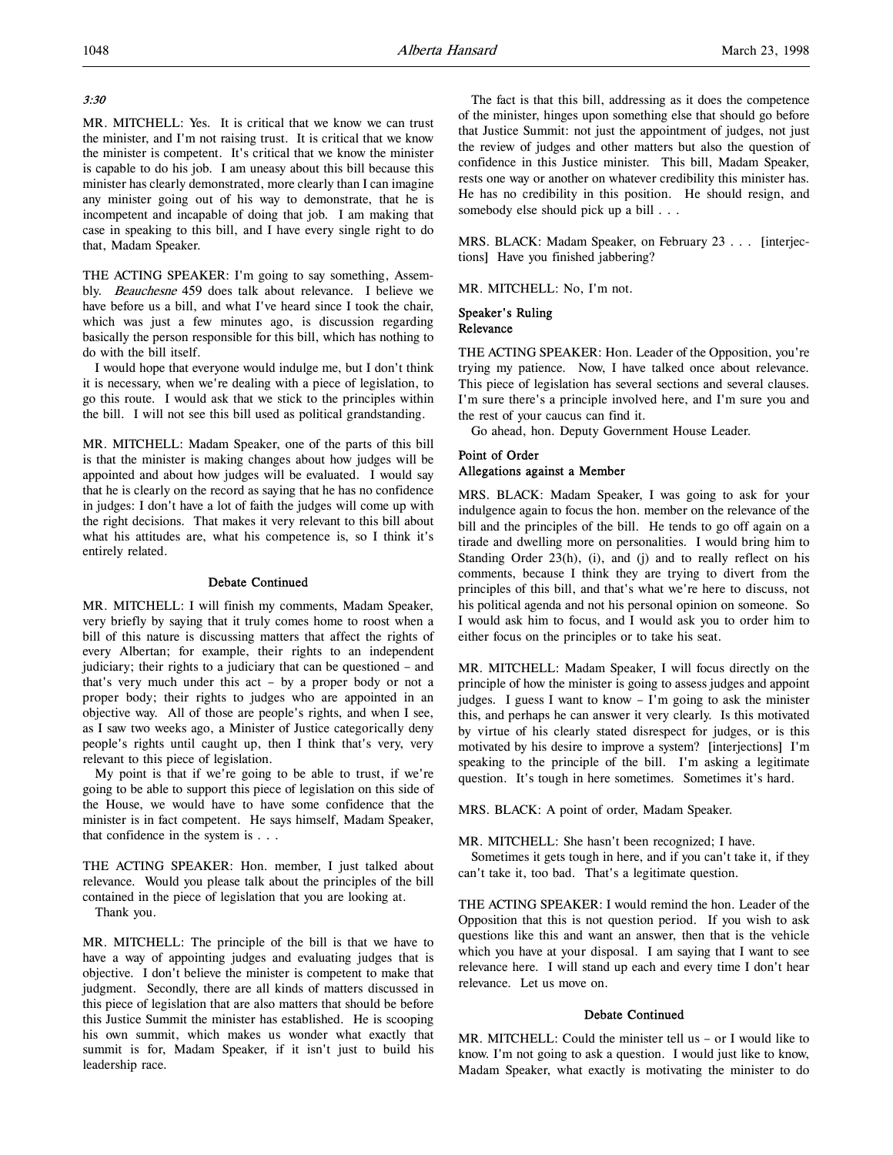# 3:30

MR. MITCHELL: Yes. It is critical that we know we can trust the minister, and I'm not raising trust. It is critical that we know the minister is competent. It's critical that we know the minister is capable to do his job. I am uneasy about this bill because this minister has clearly demonstrated, more clearly than I can imagine any minister going out of his way to demonstrate, that he is incompetent and incapable of doing that job. I am making that case in speaking to this bill, and I have every single right to do that, Madam Speaker.

THE ACTING SPEAKER: I'm going to say something, Assembly. Beauchesne 459 does talk about relevance. I believe we have before us a bill, and what I've heard since I took the chair, which was just a few minutes ago, is discussion regarding basically the person responsible for this bill, which has nothing to do with the bill itself.

I would hope that everyone would indulge me, but I don't think it is necessary, when we're dealing with a piece of legislation, to go this route. I would ask that we stick to the principles within the bill. I will not see this bill used as political grandstanding.

MR. MITCHELL: Madam Speaker, one of the parts of this bill is that the minister is making changes about how judges will be appointed and about how judges will be evaluated. I would say that he is clearly on the record as saying that he has no confidence in judges: I don't have a lot of faith the judges will come up with the right decisions. That makes it very relevant to this bill about what his attitudes are, what his competence is, so I think it's entirely related.

#### Debate Continued

MR. MITCHELL: I will finish my comments, Madam Speaker, very briefly by saying that it truly comes home to roost when a bill of this nature is discussing matters that affect the rights of every Albertan; for example, their rights to an independent judiciary; their rights to a judiciary that can be questioned – and that's very much under this act – by a proper body or not a proper body; their rights to judges who are appointed in an objective way. All of those are people's rights, and when I see, as I saw two weeks ago, a Minister of Justice categorically deny people's rights until caught up, then I think that's very, very relevant to this piece of legislation.

My point is that if we're going to be able to trust, if we're going to be able to support this piece of legislation on this side of the House, we would have to have some confidence that the minister is in fact competent. He says himself, Madam Speaker, that confidence in the system is . . .

THE ACTING SPEAKER: Hon. member, I just talked about relevance. Would you please talk about the principles of the bill contained in the piece of legislation that you are looking at.

Thank you.

MR. MITCHELL: The principle of the bill is that we have to have a way of appointing judges and evaluating judges that is objective. I don't believe the minister is competent to make that judgment. Secondly, there are all kinds of matters discussed in this piece of legislation that are also matters that should be before this Justice Summit the minister has established. He is scooping his own summit, which makes us wonder what exactly that summit is for, Madam Speaker, if it isn't just to build his leadership race.

The fact is that this bill, addressing as it does the competence of the minister, hinges upon something else that should go before that Justice Summit: not just the appointment of judges, not just the review of judges and other matters but also the question of confidence in this Justice minister. This bill, Madam Speaker, rests one way or another on whatever credibility this minister has. He has no credibility in this position. He should resign, and somebody else should pick up a bill . . .

MRS. BLACK: Madam Speaker, on February 23 . . . [interjections] Have you finished jabbering?

MR. MITCHELL: No, I'm not.

# Speaker's Ruling Relevance

THE ACTING SPEAKER: Hon. Leader of the Opposition, you're trying my patience. Now, I have talked once about relevance. This piece of legislation has several sections and several clauses. I'm sure there's a principle involved here, and I'm sure you and the rest of your caucus can find it.

Go ahead, hon. Deputy Government House Leader.

# Point of Order Allegations against a Member

MRS. BLACK: Madam Speaker, I was going to ask for your indulgence again to focus the hon. member on the relevance of the bill and the principles of the bill. He tends to go off again on a tirade and dwelling more on personalities. I would bring him to Standing Order 23(h), (i), and (j) and to really reflect on his comments, because I think they are trying to divert from the principles of this bill, and that's what we're here to discuss, not his political agenda and not his personal opinion on someone. So I would ask him to focus, and I would ask you to order him to either focus on the principles or to take his seat.

MR. MITCHELL: Madam Speaker, I will focus directly on the principle of how the minister is going to assess judges and appoint judges. I guess I want to know – I'm going to ask the minister this, and perhaps he can answer it very clearly. Is this motivated by virtue of his clearly stated disrespect for judges, or is this motivated by his desire to improve a system? [interjections] I'm speaking to the principle of the bill. I'm asking a legitimate question. It's tough in here sometimes. Sometimes it's hard.

MRS. BLACK: A point of order, Madam Speaker.

MR. MITCHELL: She hasn't been recognized; I have.

Sometimes it gets tough in here, and if you can't take it, if they can't take it, too bad. That's a legitimate question.

THE ACTING SPEAKER: I would remind the hon. Leader of the Opposition that this is not question period. If you wish to ask questions like this and want an answer, then that is the vehicle which you have at your disposal. I am saying that I want to see relevance here. I will stand up each and every time I don't hear relevance. Let us move on.

# Debate Continued

MR. MITCHELL: Could the minister tell us – or I would like to know. I'm not going to ask a question. I would just like to know, Madam Speaker, what exactly is motivating the minister to do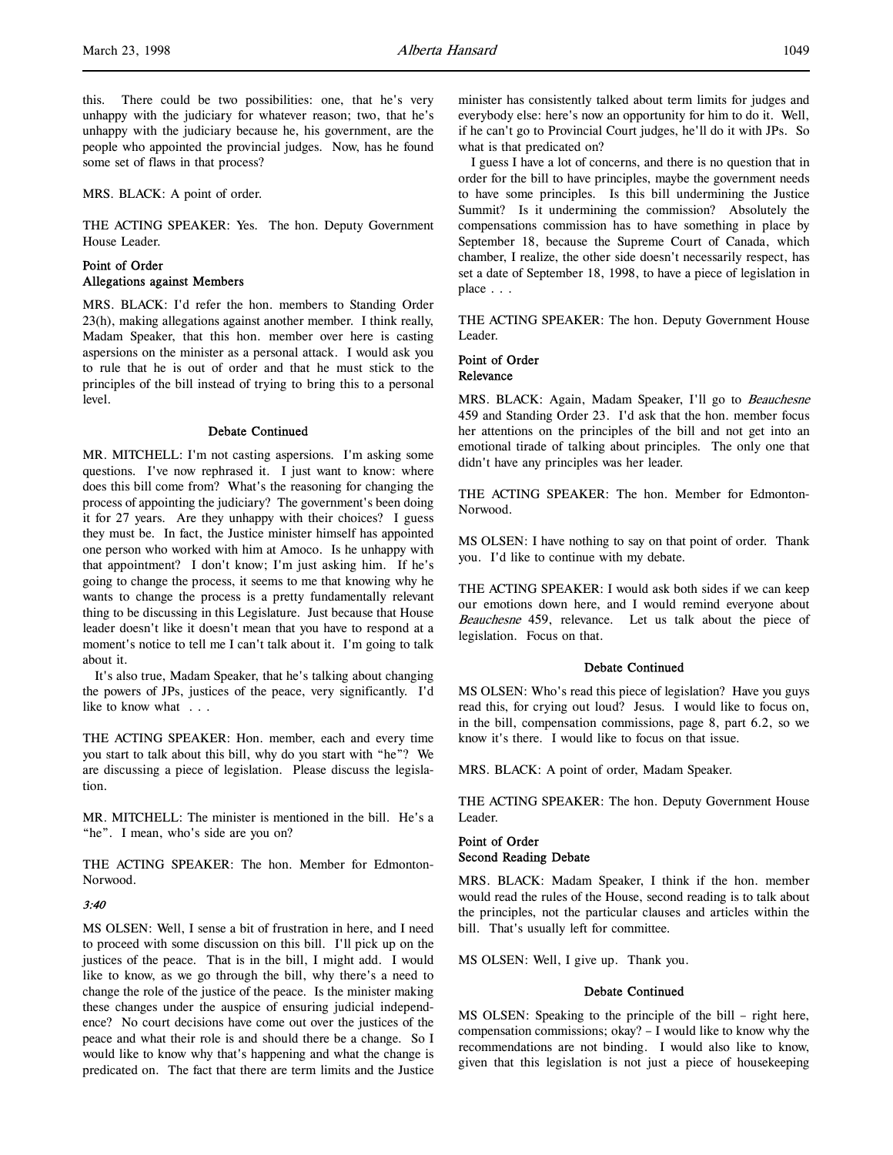this. There could be two possibilities: one, that he's very unhappy with the judiciary for whatever reason; two, that he's unhappy with the judiciary because he, his government, are the people who appointed the provincial judges. Now, has he found some set of flaws in that process?

MRS. BLACK: A point of order.

THE ACTING SPEAKER: Yes. The hon. Deputy Government House Leader.

# Point of Order Allegations against Members

MRS. BLACK: I'd refer the hon. members to Standing Order 23(h), making allegations against another member. I think really, Madam Speaker, that this hon. member over here is casting aspersions on the minister as a personal attack. I would ask you to rule that he is out of order and that he must stick to the principles of the bill instead of trying to bring this to a personal level.

## Debate Continued

MR. MITCHELL: I'm not casting aspersions. I'm asking some questions. I've now rephrased it. I just want to know: where does this bill come from? What's the reasoning for changing the process of appointing the judiciary? The government's been doing it for 27 years. Are they unhappy with their choices? I guess they must be. In fact, the Justice minister himself has appointed one person who worked with him at Amoco. Is he unhappy with that appointment? I don't know; I'm just asking him. If he's going to change the process, it seems to me that knowing why he wants to change the process is a pretty fundamentally relevant thing to be discussing in this Legislature. Just because that House leader doesn't like it doesn't mean that you have to respond at a moment's notice to tell me I can't talk about it. I'm going to talk about it.

It's also true, Madam Speaker, that he's talking about changing the powers of JPs, justices of the peace, very significantly. I'd like to know what . . .

THE ACTING SPEAKER: Hon. member, each and every time you start to talk about this bill, why do you start with "he"? We are discussing a piece of legislation. Please discuss the legislation.

MR. MITCHELL: The minister is mentioned in the bill. He's a "he". I mean, who's side are you on?

THE ACTING SPEAKER: The hon. Member for Edmonton-Norwood.

# 3:40

MS OLSEN: Well, I sense a bit of frustration in here, and I need to proceed with some discussion on this bill. I'll pick up on the justices of the peace. That is in the bill, I might add. I would like to know, as we go through the bill, why there's a need to change the role of the justice of the peace. Is the minister making these changes under the auspice of ensuring judicial independence? No court decisions have come out over the justices of the peace and what their role is and should there be a change. So I would like to know why that's happening and what the change is predicated on. The fact that there are term limits and the Justice

minister has consistently talked about term limits for judges and everybody else: here's now an opportunity for him to do it. Well, if he can't go to Provincial Court judges, he'll do it with JPs. So what is that predicated on?

I guess I have a lot of concerns, and there is no question that in order for the bill to have principles, maybe the government needs to have some principles. Is this bill undermining the Justice Summit? Is it undermining the commission? Absolutely the compensations commission has to have something in place by September 18, because the Supreme Court of Canada, which chamber, I realize, the other side doesn't necessarily respect, has set a date of September 18, 1998, to have a piece of legislation in place . . .

THE ACTING SPEAKER: The hon. Deputy Government House Leader.

# Point of Order Relevance

MRS. BLACK: Again, Madam Speaker, I'll go to Beauchesne 459 and Standing Order 23. I'd ask that the hon. member focus her attentions on the principles of the bill and not get into an emotional tirade of talking about principles. The only one that didn't have any principles was her leader.

THE ACTING SPEAKER: The hon. Member for Edmonton-Norwood.

MS OLSEN: I have nothing to say on that point of order. Thank you. I'd like to continue with my debate.

THE ACTING SPEAKER: I would ask both sides if we can keep our emotions down here, and I would remind everyone about Beauchesne 459, relevance. Let us talk about the piece of legislation. Focus on that.

### Debate Continued

MS OLSEN: Who's read this piece of legislation? Have you guys read this, for crying out loud? Jesus. I would like to focus on, in the bill, compensation commissions, page 8, part 6.2, so we know it's there. I would like to focus on that issue.

MRS. BLACK: A point of order, Madam Speaker.

THE ACTING SPEAKER: The hon. Deputy Government House Leader.

# Point of Order Second Reading Debate

MRS. BLACK: Madam Speaker, I think if the hon. member would read the rules of the House, second reading is to talk about the principles, not the particular clauses and articles within the bill. That's usually left for committee.

MS OLSEN: Well, I give up. Thank you.

#### Debate Continued

MS OLSEN: Speaking to the principle of the bill – right here, compensation commissions; okay? – I would like to know why the recommendations are not binding. I would also like to know, given that this legislation is not just a piece of housekeeping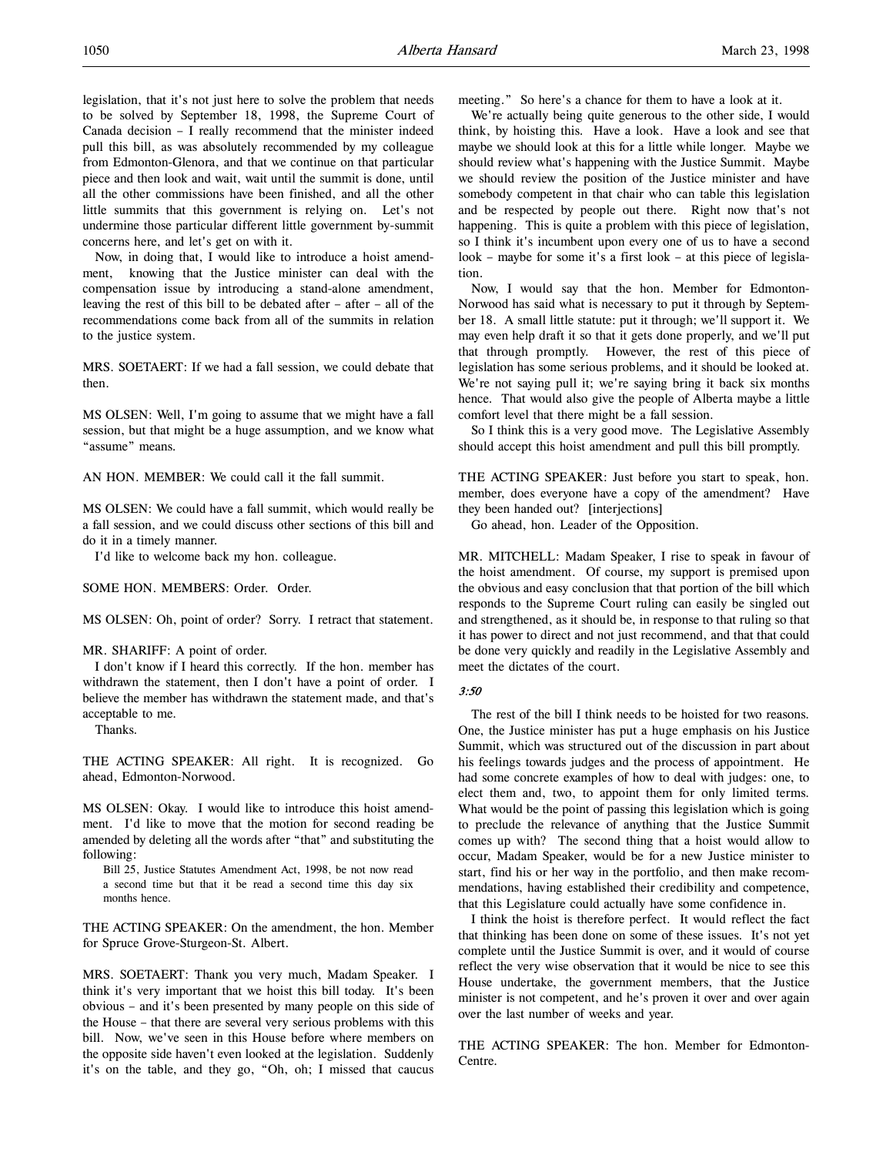legislation, that it's not just here to solve the problem that needs to be solved by September 18, 1998, the Supreme Court of Canada decision – I really recommend that the minister indeed pull this bill, as was absolutely recommended by my colleague from Edmonton-Glenora, and that we continue on that particular piece and then look and wait, wait until the summit is done, until all the other commissions have been finished, and all the other little summits that this government is relying on. Let's not undermine those particular different little government by-summit concerns here, and let's get on with it.

Now, in doing that, I would like to introduce a hoist amendment, knowing that the Justice minister can deal with the compensation issue by introducing a stand-alone amendment, leaving the rest of this bill to be debated after – after – all of the recommendations come back from all of the summits in relation to the justice system.

MRS. SOETAERT: If we had a fall session, we could debate that then.

MS OLSEN: Well, I'm going to assume that we might have a fall session, but that might be a huge assumption, and we know what "assume" means.

AN HON. MEMBER: We could call it the fall summit.

MS OLSEN: We could have a fall summit, which would really be a fall session, and we could discuss other sections of this bill and do it in a timely manner.

I'd like to welcome back my hon. colleague.

SOME HON. MEMBERS: Order. Order.

MS OLSEN: Oh, point of order? Sorry. I retract that statement.

MR. SHARIFF: A point of order.

I don't know if I heard this correctly. If the hon. member has withdrawn the statement, then I don't have a point of order. I believe the member has withdrawn the statement made, and that's acceptable to me.

Thanks.

THE ACTING SPEAKER: All right. It is recognized. Go ahead, Edmonton-Norwood.

MS OLSEN: Okay. I would like to introduce this hoist amendment. I'd like to move that the motion for second reading be amended by deleting all the words after "that" and substituting the following:

Bill 25, Justice Statutes Amendment Act, 1998, be not now read a second time but that it be read a second time this day six months hence.

THE ACTING SPEAKER: On the amendment, the hon. Member for Spruce Grove-Sturgeon-St. Albert.

MRS. SOETAERT: Thank you very much, Madam Speaker. I think it's very important that we hoist this bill today. It's been obvious – and it's been presented by many people on this side of the House – that there are several very serious problems with this bill. Now, we've seen in this House before where members on the opposite side haven't even looked at the legislation. Suddenly it's on the table, and they go, "Oh, oh; I missed that caucus

meeting." So here's a chance for them to have a look at it.

We're actually being quite generous to the other side, I would think, by hoisting this. Have a look. Have a look and see that maybe we should look at this for a little while longer. Maybe we should review what's happening with the Justice Summit. Maybe we should review the position of the Justice minister and have somebody competent in that chair who can table this legislation and be respected by people out there. Right now that's not happening. This is quite a problem with this piece of legislation, so I think it's incumbent upon every one of us to have a second look – maybe for some it's a first look – at this piece of legislation.

Now, I would say that the hon. Member for Edmonton-Norwood has said what is necessary to put it through by September 18. A small little statute: put it through; we'll support it. We may even help draft it so that it gets done properly, and we'll put that through promptly. However, the rest of this piece of legislation has some serious problems, and it should be looked at. We're not saying pull it; we're saying bring it back six months hence. That would also give the people of Alberta maybe a little comfort level that there might be a fall session.

So I think this is a very good move. The Legislative Assembly should accept this hoist amendment and pull this bill promptly.

THE ACTING SPEAKER: Just before you start to speak, hon. member, does everyone have a copy of the amendment? Have they been handed out? [interjections]

Go ahead, hon. Leader of the Opposition.

MR. MITCHELL: Madam Speaker, I rise to speak in favour of the hoist amendment. Of course, my support is premised upon the obvious and easy conclusion that that portion of the bill which responds to the Supreme Court ruling can easily be singled out and strengthened, as it should be, in response to that ruling so that it has power to direct and not just recommend, and that that could be done very quickly and readily in the Legislative Assembly and meet the dictates of the court.

#### $3.50$

The rest of the bill I think needs to be hoisted for two reasons. One, the Justice minister has put a huge emphasis on his Justice Summit, which was structured out of the discussion in part about his feelings towards judges and the process of appointment. He had some concrete examples of how to deal with judges: one, to elect them and, two, to appoint them for only limited terms. What would be the point of passing this legislation which is going to preclude the relevance of anything that the Justice Summit comes up with? The second thing that a hoist would allow to occur, Madam Speaker, would be for a new Justice minister to start, find his or her way in the portfolio, and then make recommendations, having established their credibility and competence, that this Legislature could actually have some confidence in.

I think the hoist is therefore perfect. It would reflect the fact that thinking has been done on some of these issues. It's not yet complete until the Justice Summit is over, and it would of course reflect the very wise observation that it would be nice to see this House undertake, the government members, that the Justice minister is not competent, and he's proven it over and over again over the last number of weeks and year.

THE ACTING SPEAKER: The hon. Member for Edmonton-Centre.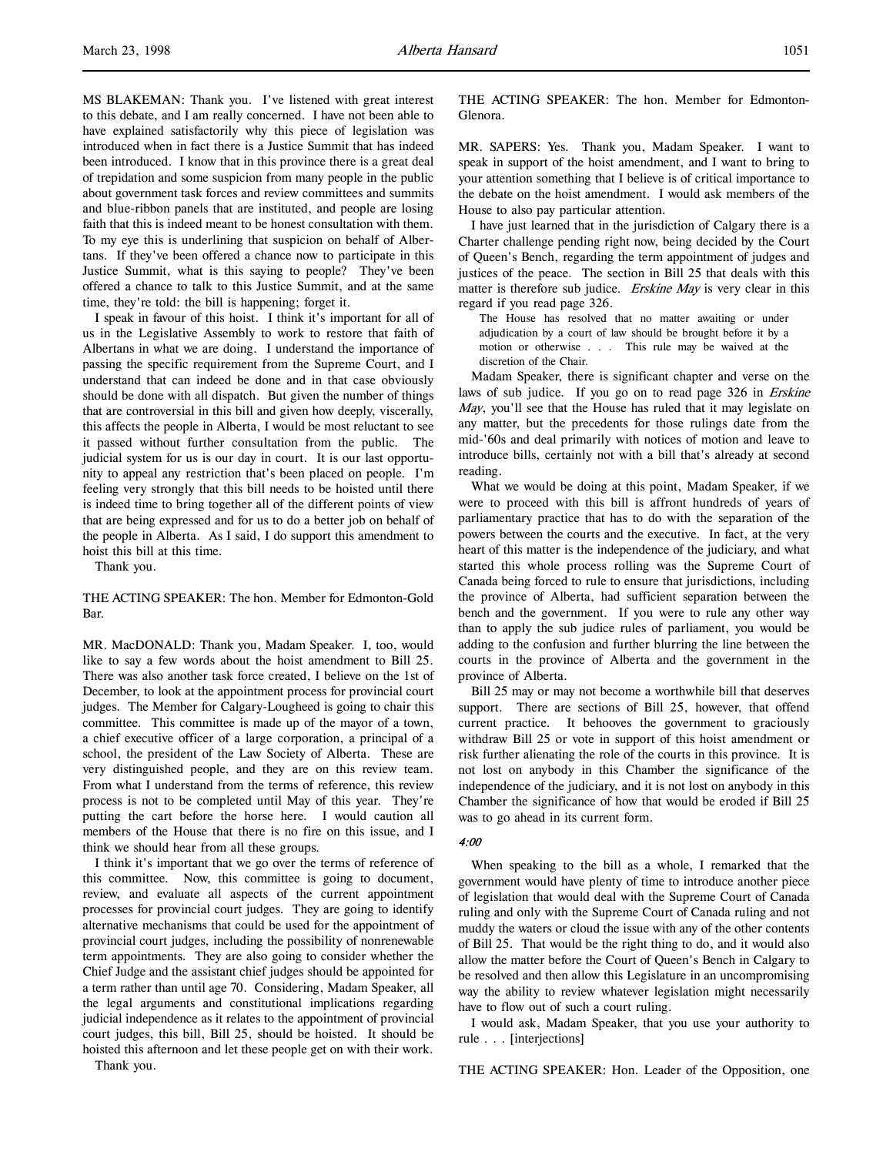MS BLAKEMAN: Thank you. I've listened with great interest to this debate, and I am really concerned. I have not been able to have explained satisfactorily why this piece of legislation was introduced when in fact there is a Justice Summit that has indeed been introduced. I know that in this province there is a great deal of trepidation and some suspicion from many people in the public about government task forces and review committees and summits and blue-ribbon panels that are instituted, and people are losing faith that this is indeed meant to be honest consultation with them. To my eye this is underlining that suspicion on behalf of Albertans. If they've been offered a chance now to participate in this Justice Summit, what is this saying to people? They've been offered a chance to talk to this Justice Summit, and at the same time, they're told: the bill is happening; forget it.

I speak in favour of this hoist. I think it's important for all of us in the Legislative Assembly to work to restore that faith of Albertans in what we are doing. I understand the importance of passing the specific requirement from the Supreme Court, and I understand that can indeed be done and in that case obviously should be done with all dispatch. But given the number of things that are controversial in this bill and given how deeply, viscerally, this affects the people in Alberta, I would be most reluctant to see it passed without further consultation from the public. The judicial system for us is our day in court. It is our last opportunity to appeal any restriction that's been placed on people. I'm feeling very strongly that this bill needs to be hoisted until there is indeed time to bring together all of the different points of view that are being expressed and for us to do a better job on behalf of the people in Alberta. As I said, I do support this amendment to hoist this bill at this time.

Thank you.

THE ACTING SPEAKER: The hon. Member for Edmonton-Gold Bar.

MR. MacDONALD: Thank you, Madam Speaker. I, too, would like to say a few words about the hoist amendment to Bill 25. There was also another task force created, I believe on the 1st of December, to look at the appointment process for provincial court judges. The Member for Calgary-Lougheed is going to chair this committee. This committee is made up of the mayor of a town, a chief executive officer of a large corporation, a principal of a school, the president of the Law Society of Alberta. These are very distinguished people, and they are on this review team. From what I understand from the terms of reference, this review process is not to be completed until May of this year. They're putting the cart before the horse here. I would caution all members of the House that there is no fire on this issue, and I think we should hear from all these groups.

I think it's important that we go over the terms of reference of this committee. Now, this committee is going to document, review, and evaluate all aspects of the current appointment processes for provincial court judges. They are going to identify alternative mechanisms that could be used for the appointment of provincial court judges, including the possibility of nonrenewable term appointments. They are also going to consider whether the Chief Judge and the assistant chief judges should be appointed for a term rather than until age 70. Considering, Madam Speaker, all the legal arguments and constitutional implications regarding judicial independence as it relates to the appointment of provincial court judges, this bill, Bill 25, should be hoisted. It should be hoisted this afternoon and let these people get on with their work. Thank you.

THE ACTING SPEAKER: The hon. Member for Edmonton-Glenora.

MR. SAPERS: Yes. Thank you, Madam Speaker. I want to speak in support of the hoist amendment, and I want to bring to your attention something that I believe is of critical importance to the debate on the hoist amendment. I would ask members of the House to also pay particular attention.

I have just learned that in the jurisdiction of Calgary there is a Charter challenge pending right now, being decided by the Court of Queen's Bench, regarding the term appointment of judges and justices of the peace. The section in Bill 25 that deals with this matter is therefore sub judice. Erskine May is very clear in this regard if you read page 326.

The House has resolved that no matter awaiting or under adjudication by a court of law should be brought before it by a motion or otherwise . . . This rule may be waived at the discretion of the Chair.

Madam Speaker, there is significant chapter and verse on the laws of sub judice. If you go on to read page 326 in Erskine May, you'll see that the House has ruled that it may legislate on any matter, but the precedents for those rulings date from the mid-'60s and deal primarily with notices of motion and leave to introduce bills, certainly not with a bill that's already at second reading.

What we would be doing at this point, Madam Speaker, if we were to proceed with this bill is affront hundreds of years of parliamentary practice that has to do with the separation of the powers between the courts and the executive. In fact, at the very heart of this matter is the independence of the judiciary, and what started this whole process rolling was the Supreme Court of Canada being forced to rule to ensure that jurisdictions, including the province of Alberta, had sufficient separation between the bench and the government. If you were to rule any other way than to apply the sub judice rules of parliament, you would be adding to the confusion and further blurring the line between the courts in the province of Alberta and the government in the province of Alberta.

Bill 25 may or may not become a worthwhile bill that deserves support. There are sections of Bill 25, however, that offend current practice. It behooves the government to graciously withdraw Bill 25 or vote in support of this hoist amendment or risk further alienating the role of the courts in this province. It is not lost on anybody in this Chamber the significance of the independence of the judiciary, and it is not lost on anybody in this Chamber the significance of how that would be eroded if Bill 25 was to go ahead in its current form.

### 4:00

When speaking to the bill as a whole, I remarked that the government would have plenty of time to introduce another piece of legislation that would deal with the Supreme Court of Canada ruling and only with the Supreme Court of Canada ruling and not muddy the waters or cloud the issue with any of the other contents of Bill 25. That would be the right thing to do, and it would also allow the matter before the Court of Queen's Bench in Calgary to be resolved and then allow this Legislature in an uncompromising way the ability to review whatever legislation might necessarily have to flow out of such a court ruling.

I would ask, Madam Speaker, that you use your authority to rule . . . [interjections]

THE ACTING SPEAKER: Hon. Leader of the Opposition, one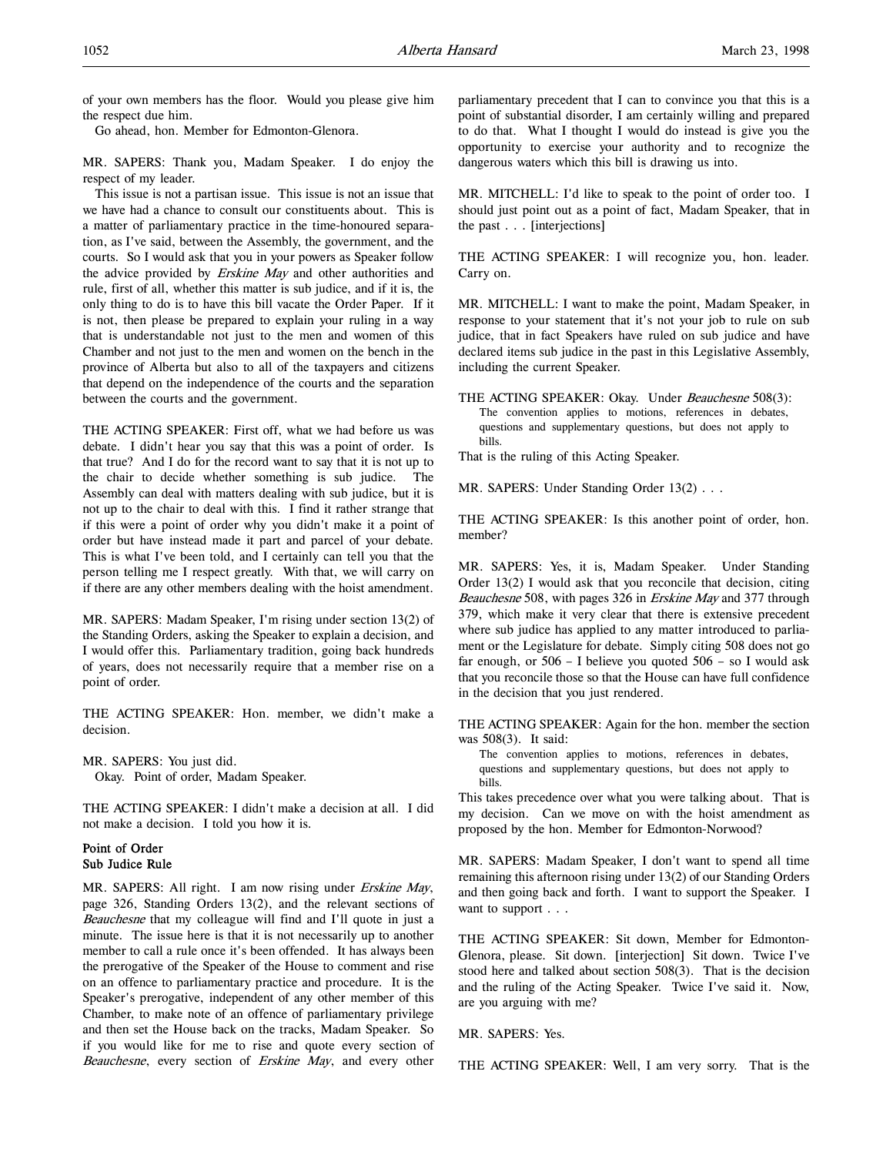of your own members has the floor. Would you please give him the respect due him.

Go ahead, hon. Member for Edmonton-Glenora.

MR. SAPERS: Thank you, Madam Speaker. I do enjoy the respect of my leader.

This issue is not a partisan issue. This issue is not an issue that we have had a chance to consult our constituents about. This is a matter of parliamentary practice in the time-honoured separation, as I've said, between the Assembly, the government, and the courts. So I would ask that you in your powers as Speaker follow the advice provided by Erskine May and other authorities and rule, first of all, whether this matter is sub judice, and if it is, the only thing to do is to have this bill vacate the Order Paper. If it is not, then please be prepared to explain your ruling in a way that is understandable not just to the men and women of this Chamber and not just to the men and women on the bench in the province of Alberta but also to all of the taxpayers and citizens that depend on the independence of the courts and the separation between the courts and the government.

THE ACTING SPEAKER: First off, what we had before us was debate. I didn't hear you say that this was a point of order. Is that true? And I do for the record want to say that it is not up to the chair to decide whether something is sub judice. The Assembly can deal with matters dealing with sub judice, but it is not up to the chair to deal with this. I find it rather strange that if this were a point of order why you didn't make it a point of order but have instead made it part and parcel of your debate. This is what I've been told, and I certainly can tell you that the person telling me I respect greatly. With that, we will carry on if there are any other members dealing with the hoist amendment.

MR. SAPERS: Madam Speaker, I'm rising under section 13(2) of the Standing Orders, asking the Speaker to explain a decision, and I would offer this. Parliamentary tradition, going back hundreds of years, does not necessarily require that a member rise on a point of order.

THE ACTING SPEAKER: Hon. member, we didn't make a decision.

MR. SAPERS: You just did. Okay. Point of order, Madam Speaker.

THE ACTING SPEAKER: I didn't make a decision at all. I did not make a decision. I told you how it is.

# Point of Order Sub Judice Rule

MR. SAPERS: All right. I am now rising under Erskine May, page 326, Standing Orders 13(2), and the relevant sections of Beauchesne that my colleague will find and I'll quote in just a minute. The issue here is that it is not necessarily up to another member to call a rule once it's been offended. It has always been the prerogative of the Speaker of the House to comment and rise on an offence to parliamentary practice and procedure. It is the Speaker's prerogative, independent of any other member of this Chamber, to make note of an offence of parliamentary privilege and then set the House back on the tracks, Madam Speaker. So if you would like for me to rise and quote every section of Beauchesne, every section of Erskine May, and every other

parliamentary precedent that I can to convince you that this is a point of substantial disorder, I am certainly willing and prepared to do that. What I thought I would do instead is give you the opportunity to exercise your authority and to recognize the dangerous waters which this bill is drawing us into.

MR. MITCHELL: I'd like to speak to the point of order too. I should just point out as a point of fact, Madam Speaker, that in the past . . . [interjections]

THE ACTING SPEAKER: I will recognize you, hon. leader. Carry on.

MR. MITCHELL: I want to make the point, Madam Speaker, in response to your statement that it's not your job to rule on sub judice, that in fact Speakers have ruled on sub judice and have declared items sub judice in the past in this Legislative Assembly, including the current Speaker.

THE ACTING SPEAKER: Okay. Under Beauchesne 508(3): The convention applies to motions, references in debates, questions and supplementary questions, but does not apply to bills.

That is the ruling of this Acting Speaker.

MR. SAPERS: Under Standing Order 13(2) . . .

THE ACTING SPEAKER: Is this another point of order, hon. member?

MR. SAPERS: Yes, it is, Madam Speaker. Under Standing Order 13(2) I would ask that you reconcile that decision, citing Beauchesne 508, with pages 326 in Erskine May and 377 through 379, which make it very clear that there is extensive precedent where sub judice has applied to any matter introduced to parliament or the Legislature for debate. Simply citing 508 does not go far enough, or  $506 - I$  believe you quoted  $506 -$  so I would ask that you reconcile those so that the House can have full confidence in the decision that you just rendered.

THE ACTING SPEAKER: Again for the hon. member the section was 508(3). It said:

The convention applies to motions, references in debates, questions and supplementary questions, but does not apply to bills.

This takes precedence over what you were talking about. That is my decision. Can we move on with the hoist amendment as proposed by the hon. Member for Edmonton-Norwood?

MR. SAPERS: Madam Speaker, I don't want to spend all time remaining this afternoon rising under 13(2) of our Standing Orders and then going back and forth. I want to support the Speaker. I want to support . . .

THE ACTING SPEAKER: Sit down, Member for Edmonton-Glenora, please. Sit down. [interjection] Sit down. Twice I've stood here and talked about section 508(3). That is the decision and the ruling of the Acting Speaker. Twice I've said it. Now, are you arguing with me?

MR. SAPERS: Yes.

THE ACTING SPEAKER: Well, I am very sorry. That is the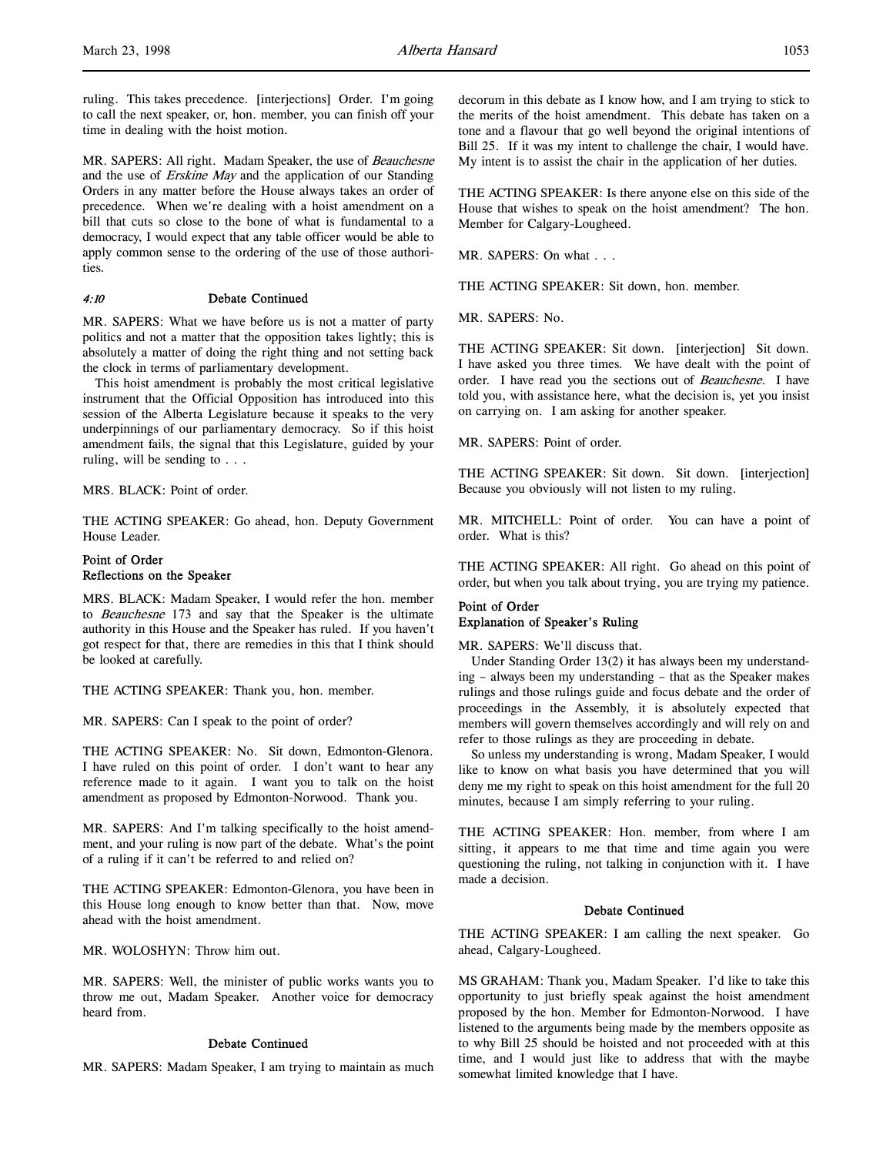ruling. This takes precedence. [interjections] Order. I'm going to call the next speaker, or, hon. member, you can finish off your time in dealing with the hoist motion.

MR. SAPERS: All right. Madam Speaker, the use of Beauchesne and the use of Erskine May and the application of our Standing Orders in any matter before the House always takes an order of precedence. When we're dealing with a hoist amendment on a bill that cuts so close to the bone of what is fundamental to a democracy, I would expect that any table officer would be able to apply common sense to the ordering of the use of those authorities.

# 4:10 Debate Continued

MR. SAPERS: What we have before us is not a matter of party politics and not a matter that the opposition takes lightly; this is absolutely a matter of doing the right thing and not setting back the clock in terms of parliamentary development.

This hoist amendment is probably the most critical legislative instrument that the Official Opposition has introduced into this session of the Alberta Legislature because it speaks to the very underpinnings of our parliamentary democracy. So if this hoist amendment fails, the signal that this Legislature, guided by your ruling, will be sending to . . .

MRS. BLACK: Point of order.

THE ACTING SPEAKER: Go ahead, hon. Deputy Government House Leader.

# Point of Order Reflections on the Speaker

MRS. BLACK: Madam Speaker, I would refer the hon. member to Beauchesne 173 and say that the Speaker is the ultimate authority in this House and the Speaker has ruled. If you haven't got respect for that, there are remedies in this that I think should be looked at carefully.

THE ACTING SPEAKER: Thank you, hon. member.

MR. SAPERS: Can I speak to the point of order?

THE ACTING SPEAKER: No. Sit down, Edmonton-Glenora. I have ruled on this point of order. I don't want to hear any reference made to it again. I want you to talk on the hoist amendment as proposed by Edmonton-Norwood. Thank you.

MR. SAPERS: And I'm talking specifically to the hoist amendment, and your ruling is now part of the debate. What's the point of a ruling if it can't be referred to and relied on?

THE ACTING SPEAKER: Edmonton-Glenora, you have been in this House long enough to know better than that. Now, move ahead with the hoist amendment.

MR. WOLOSHYN: Throw him out.

MR. SAPERS: Well, the minister of public works wants you to throw me out, Madam Speaker. Another voice for democracy heard from.

# Debate Continued

MR. SAPERS: Madam Speaker, I am trying to maintain as much

decorum in this debate as I know how, and I am trying to stick to the merits of the hoist amendment. This debate has taken on a tone and a flavour that go well beyond the original intentions of Bill 25. If it was my intent to challenge the chair, I would have. My intent is to assist the chair in the application of her duties.

THE ACTING SPEAKER: Is there anyone else on this side of the House that wishes to speak on the hoist amendment? The hon. Member for Calgary-Lougheed.

MR. SAPERS: On what . . .

THE ACTING SPEAKER: Sit down, hon. member.

MR. SAPERS: No.

THE ACTING SPEAKER: Sit down. [interjection] Sit down. I have asked you three times. We have dealt with the point of order. I have read you the sections out of Beauchesne. I have told you, with assistance here, what the decision is, yet you insist on carrying on. I am asking for another speaker.

MR. SAPERS: Point of order.

THE ACTING SPEAKER: Sit down. Sit down. [interjection] Because you obviously will not listen to my ruling.

MR. MITCHELL: Point of order. You can have a point of order. What is this?

THE ACTING SPEAKER: All right. Go ahead on this point of order, but when you talk about trying, you are trying my patience.

# Point of Order Explanation of Speaker's Ruling

MR. SAPERS: We'll discuss that.

Under Standing Order 13(2) it has always been my understanding – always been my understanding – that as the Speaker makes rulings and those rulings guide and focus debate and the order of proceedings in the Assembly, it is absolutely expected that members will govern themselves accordingly and will rely on and refer to those rulings as they are proceeding in debate.

So unless my understanding is wrong, Madam Speaker, I would like to know on what basis you have determined that you will deny me my right to speak on this hoist amendment for the full 20 minutes, because I am simply referring to your ruling.

THE ACTING SPEAKER: Hon. member, from where I am sitting, it appears to me that time and time again you were questioning the ruling, not talking in conjunction with it. I have made a decision.

#### Debate Continued

THE ACTING SPEAKER: I am calling the next speaker. Go ahead, Calgary-Lougheed.

MS GRAHAM: Thank you, Madam Speaker. I'd like to take this opportunity to just briefly speak against the hoist amendment proposed by the hon. Member for Edmonton-Norwood. I have listened to the arguments being made by the members opposite as to why Bill 25 should be hoisted and not proceeded with at this time, and I would just like to address that with the maybe somewhat limited knowledge that I have.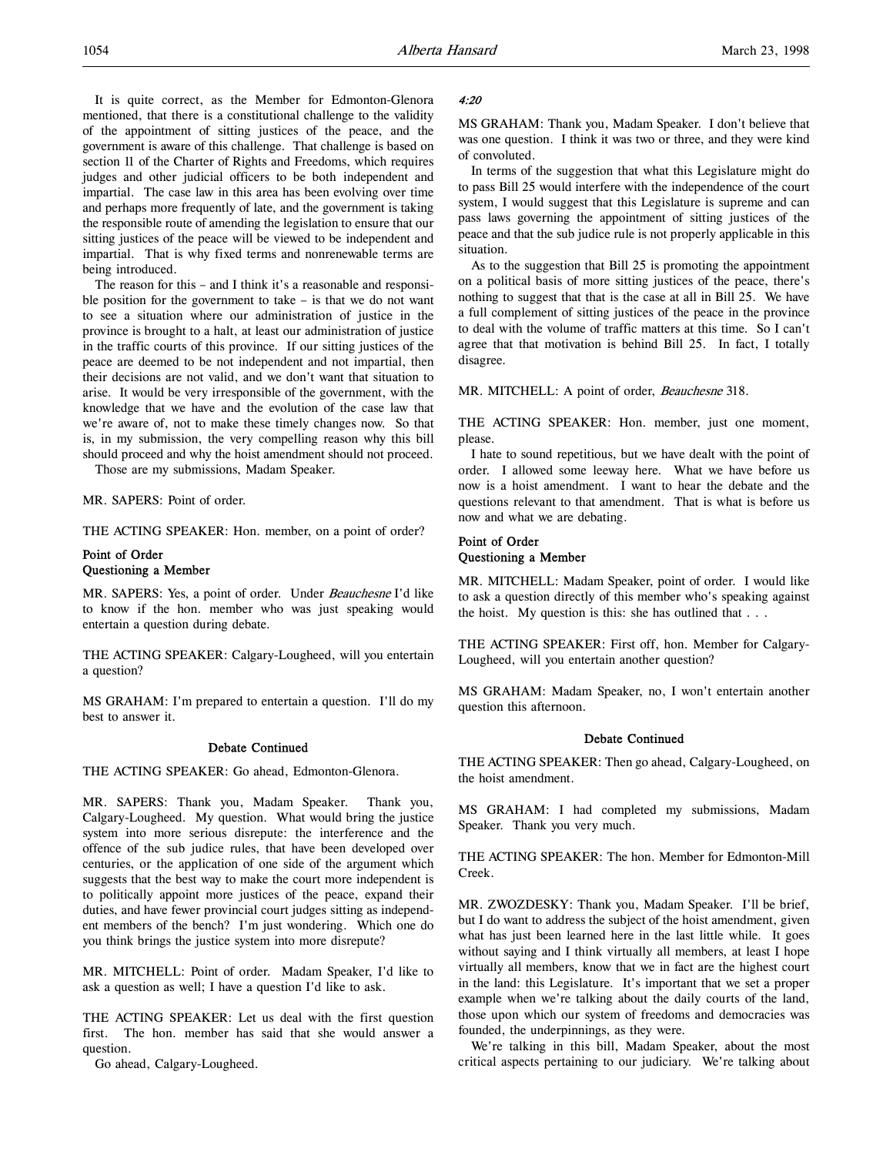It is quite correct, as the Member for Edmonton-Glenora mentioned, that there is a constitutional challenge to the validity of the appointment of sitting justices of the peace, and the government is aware of this challenge. That challenge is based on section 11 of the Charter of Rights and Freedoms, which requires judges and other judicial officers to be both independent and impartial. The case law in this area has been evolving over time and perhaps more frequently of late, and the government is taking the responsible route of amending the legislation to ensure that our sitting justices of the peace will be viewed to be independent and impartial. That is why fixed terms and nonrenewable terms are being introduced.

The reason for this – and I think it's a reasonable and responsible position for the government to take  $-$  is that we do not want to see a situation where our administration of justice in the province is brought to a halt, at least our administration of justice in the traffic courts of this province. If our sitting justices of the peace are deemed to be not independent and not impartial, then their decisions are not valid, and we don't want that situation to arise. It would be very irresponsible of the government, with the knowledge that we have and the evolution of the case law that we're aware of, not to make these timely changes now. So that is, in my submission, the very compelling reason why this bill should proceed and why the hoist amendment should not proceed.

Those are my submissions, Madam Speaker.

MR. SAPERS: Point of order.

THE ACTING SPEAKER: Hon. member, on a point of order?

# Point of Order Questioning a Member

MR. SAPERS: Yes, a point of order. Under Beauchesne I'd like to know if the hon. member who was just speaking would entertain a question during debate.

THE ACTING SPEAKER: Calgary-Lougheed, will you entertain a question?

MS GRAHAM: I'm prepared to entertain a question. I'll do my best to answer it.

#### Debate Continued

THE ACTING SPEAKER: Go ahead, Edmonton-Glenora.

MR. SAPERS: Thank you, Madam Speaker. Thank you, Calgary-Lougheed. My question. What would bring the justice system into more serious disrepute: the interference and the offence of the sub judice rules, that have been developed over centuries, or the application of one side of the argument which suggests that the best way to make the court more independent is to politically appoint more justices of the peace, expand their duties, and have fewer provincial court judges sitting as independent members of the bench? I'm just wondering. Which one do you think brings the justice system into more disrepute?

MR. MITCHELL: Point of order. Madam Speaker, I'd like to ask a question as well; I have a question I'd like to ask.

THE ACTING SPEAKER: Let us deal with the first question first. The hon. member has said that she would answer a question.

Go ahead, Calgary-Lougheed.

#### 4:20

MS GRAHAM: Thank you, Madam Speaker. I don't believe that was one question. I think it was two or three, and they were kind of convoluted.

In terms of the suggestion that what this Legislature might do to pass Bill 25 would interfere with the independence of the court system, I would suggest that this Legislature is supreme and can pass laws governing the appointment of sitting justices of the peace and that the sub judice rule is not properly applicable in this situation.

As to the suggestion that Bill 25 is promoting the appointment on a political basis of more sitting justices of the peace, there's nothing to suggest that that is the case at all in Bill 25. We have a full complement of sitting justices of the peace in the province to deal with the volume of traffic matters at this time. So I can't agree that that motivation is behind Bill 25. In fact, I totally disagree.

MR. MITCHELL: A point of order, Beauchesne 318.

THE ACTING SPEAKER: Hon. member, just one moment, please.

I hate to sound repetitious, but we have dealt with the point of order. I allowed some leeway here. What we have before us now is a hoist amendment. I want to hear the debate and the questions relevant to that amendment. That is what is before us now and what we are debating.

#### Point of Order Questioning a Member

MR. MITCHELL: Madam Speaker, point of order. I would like to ask a question directly of this member who's speaking against the hoist. My question is this: she has outlined that . . .

THE ACTING SPEAKER: First off, hon. Member for Calgary-Lougheed, will you entertain another question?

MS GRAHAM: Madam Speaker, no, I won't entertain another question this afternoon.

#### Debate Continued

THE ACTING SPEAKER: Then go ahead, Calgary-Lougheed, on the hoist amendment.

MS GRAHAM: I had completed my submissions, Madam Speaker. Thank you very much.

THE ACTING SPEAKER: The hon. Member for Edmonton-Mill Creek.

MR. ZWOZDESKY: Thank you, Madam Speaker. I'll be brief, but I do want to address the subject of the hoist amendment, given what has just been learned here in the last little while. It goes without saying and I think virtually all members, at least I hope virtually all members, know that we in fact are the highest court in the land: this Legislature. It's important that we set a proper example when we're talking about the daily courts of the land, those upon which our system of freedoms and democracies was founded, the underpinnings, as they were.

We're talking in this bill, Madam Speaker, about the most critical aspects pertaining to our judiciary. We're talking about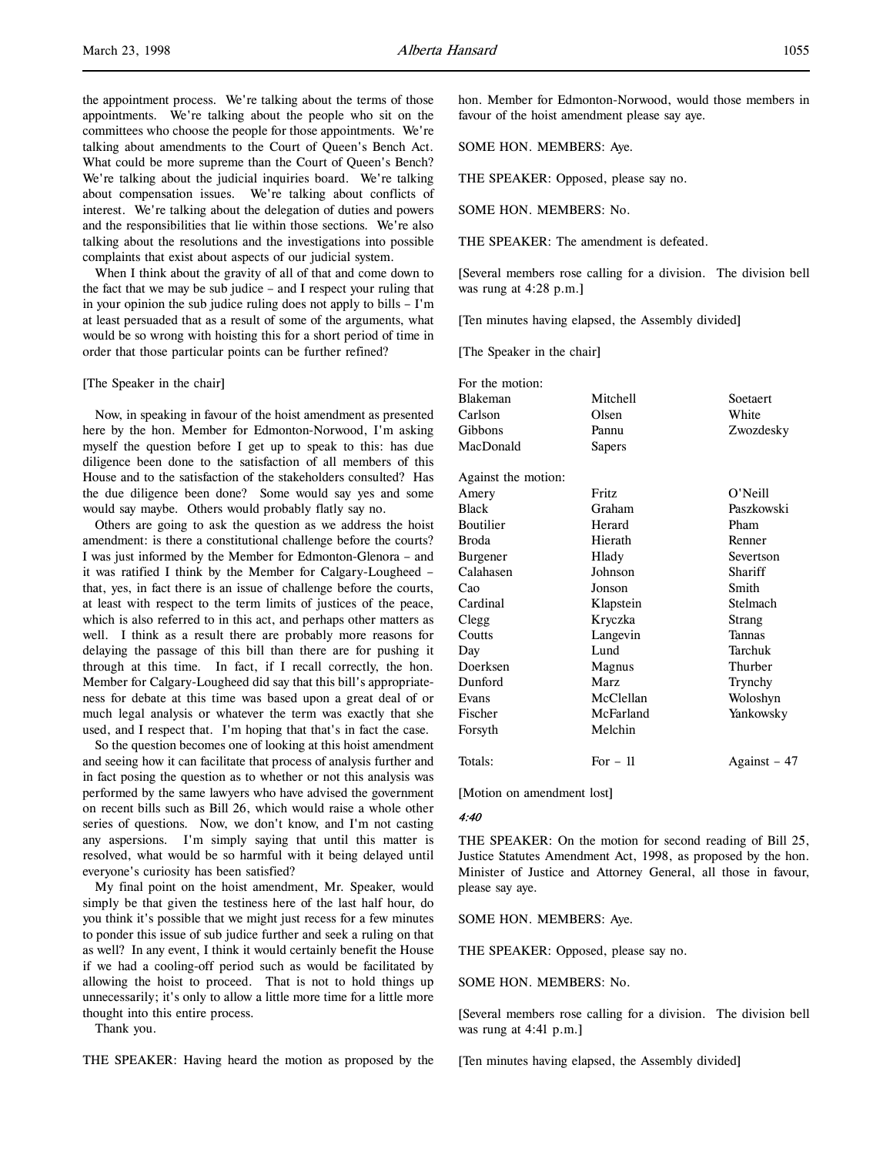the appointment process. We're talking about the terms of those appointments. We're talking about the people who sit on the committees who choose the people for those appointments. We're talking about amendments to the Court of Queen's Bench Act. What could be more supreme than the Court of Queen's Bench? We're talking about the judicial inquiries board. We're talking about compensation issues. We're talking about conflicts of interest. We're talking about the delegation of duties and powers and the responsibilities that lie within those sections. We're also talking about the resolutions and the investigations into possible complaints that exist about aspects of our judicial system.

When I think about the gravity of all of that and come down to the fact that we may be sub judice – and I respect your ruling that in your opinion the sub judice ruling does not apply to bills – I'm at least persuaded that as a result of some of the arguments, what would be so wrong with hoisting this for a short period of time in order that those particular points can be further refined?

#### [The Speaker in the chair]

Now, in speaking in favour of the hoist amendment as presented here by the hon. Member for Edmonton-Norwood, I'm asking myself the question before I get up to speak to this: has due diligence been done to the satisfaction of all members of this House and to the satisfaction of the stakeholders consulted? Has the due diligence been done? Some would say yes and some would say maybe. Others would probably flatly say no.

Others are going to ask the question as we address the hoist amendment: is there a constitutional challenge before the courts? I was just informed by the Member for Edmonton-Glenora – and it was ratified I think by the Member for Calgary-Lougheed – that, yes, in fact there is an issue of challenge before the courts, at least with respect to the term limits of justices of the peace, which is also referred to in this act, and perhaps other matters as well. I think as a result there are probably more reasons for delaying the passage of this bill than there are for pushing it through at this time. In fact, if I recall correctly, the hon. Member for Calgary-Lougheed did say that this bill's appropriateness for debate at this time was based upon a great deal of or much legal analysis or whatever the term was exactly that she used, and I respect that. I'm hoping that that's in fact the case.

So the question becomes one of looking at this hoist amendment and seeing how it can facilitate that process of analysis further and in fact posing the question as to whether or not this analysis was performed by the same lawyers who have advised the government on recent bills such as Bill 26, which would raise a whole other series of questions. Now, we don't know, and I'm not casting any aspersions. I'm simply saying that until this matter is resolved, what would be so harmful with it being delayed until everyone's curiosity has been satisfied?

My final point on the hoist amendment, Mr. Speaker, would simply be that given the testiness here of the last half hour, do you think it's possible that we might just recess for a few minutes to ponder this issue of sub judice further and seek a ruling on that as well? In any event, I think it would certainly benefit the House if we had a cooling-off period such as would be facilitated by allowing the hoist to proceed. That is not to hold things up unnecessarily; it's only to allow a little more time for a little more thought into this entire process.

Thank you.

THE SPEAKER: Having heard the motion as proposed by the

hon. Member for Edmonton-Norwood, would those members in favour of the hoist amendment please say aye.

SOME HON. MEMBERS: Aye.

THE SPEAKER: Opposed, please say no.

SOME HON. MEMBERS: No.

THE SPEAKER: The amendment is defeated.

[Several members rose calling for a division. The division bell was rung at 4:28 p.m.]

[Ten minutes having elapsed, the Assembly divided]

[The Speaker in the chair]

| For the motion:     |           |               |
|---------------------|-----------|---------------|
| Blakeman            | Mitchell  | Soetaert      |
| Carlson             | Olsen     | White         |
| Gibbons             | Pannu     | Zwozdesky     |
| MacDonald           | Sapers    |               |
| Against the motion: |           |               |
| Amery               | Fritz     | $O'$ Neill    |
| <b>Black</b>        | Graham    | Paszkowski    |
| Boutilier           | Herard    | Pham          |
| Broda               | Hierath   | Renner        |
| Burgener            | Hlady     | Severtson     |
| Calahasen           | Johnson   | Shariff       |
| Cao                 | Jonson    | Smith         |
| Cardinal            | Klapstein | Stelmach      |
| Clegg               | Kryczka   | Strang        |
| Coutts              | Langevin  | <b>Tannas</b> |
| Day                 | Lund      | Tarchuk       |
| Doerksen            | Magnus    | Thurber       |
| Dunford             | Marz      | Trynchy       |
| Evans               | McClellan | Woloshyn      |
| Fischer             | McFarland | Yankowsky     |
| Forsyth             | Melchin   |               |
| Totals:             | For $-11$ | Against - 47  |

[Motion on amendment lost]

#### 4:40

THE SPEAKER: On the motion for second reading of Bill 25, Justice Statutes Amendment Act, 1998, as proposed by the hon. Minister of Justice and Attorney General, all those in favour, please say aye.

SOME HON. MEMBERS: Aye.

THE SPEAKER: Opposed, please say no.

SOME HON. MEMBERS: No.

[Several members rose calling for a division. The division bell was rung at 4:41 p.m.]

[Ten minutes having elapsed, the Assembly divided]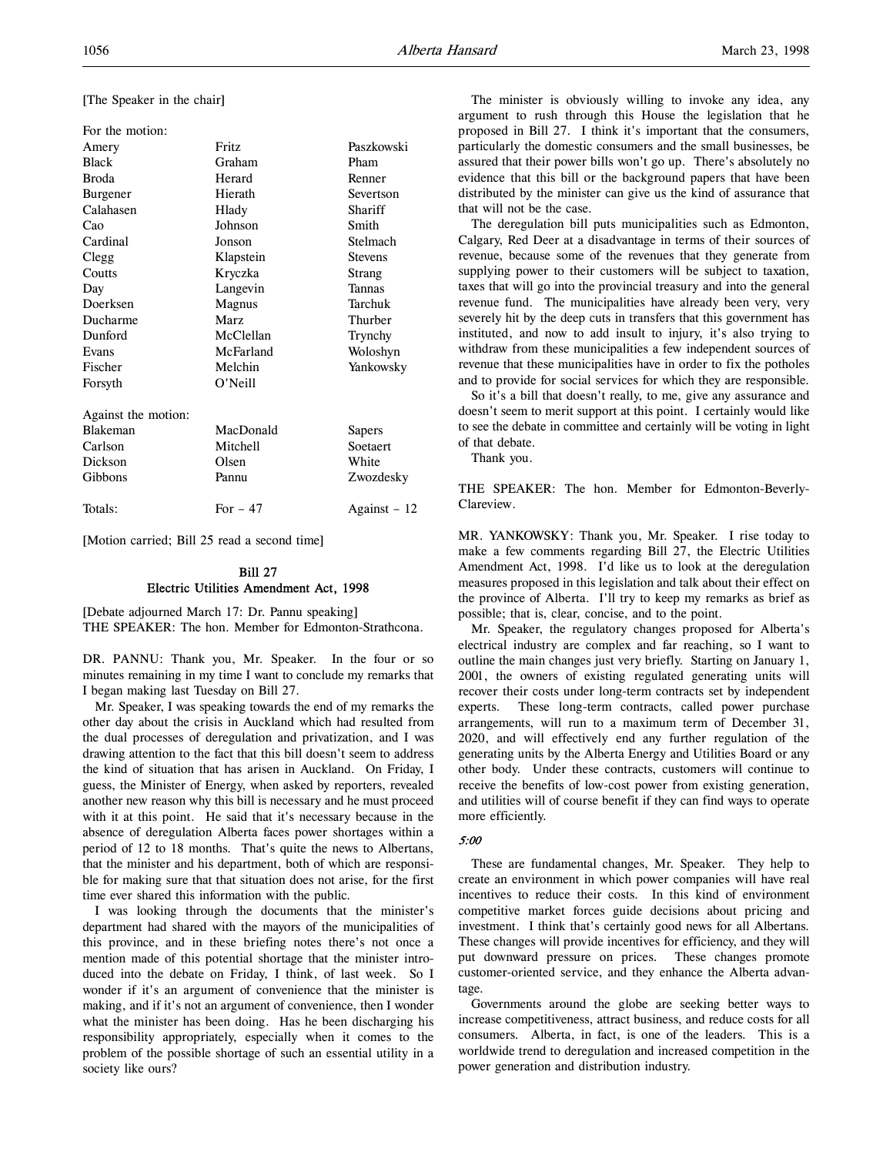[The Speaker in the chair]

| For the motion:     |           |                |
|---------------------|-----------|----------------|
| Amery               | Fritz     | Paszkowski     |
| <b>Black</b>        | Graham    | Pham           |
| <b>Broda</b>        | Herard    | Renner         |
| Burgener            | Hierath   | Severtson      |
| Calahasen           | Hlady     | Shariff        |
| Cao                 | Johnson   | Smith          |
| Cardinal            | Jonson    | Stelmach       |
| Clegg               | Klapstein | <b>Stevens</b> |
| Coutts              | Kryczka   | Strang         |
| Day                 | Langevin  | Tannas         |
| Doerksen            | Magnus    | Tarchuk        |
| Ducharme            | Marz      | Thurber        |
| Dunford             | McClellan | Trynchy        |
| Evans               | McFarland | Woloshyn       |
| Fischer             | Melchin   | Yankowsky      |
| Forsyth             | O'Neill   |                |
| Against the motion: |           |                |
| <b>Blakeman</b>     | MacDonald | Sapers         |
| Carlson             | Mitchell  | Soetaert       |
| Dickson             | Olsen     | White          |
| Gibbons             | Pannu     | Zwozdesky      |
| Totals:             | For $-47$ | Against – 12   |

[Motion carried; Bill 25 read a second time]

# Bill 27 Electric Utilities Amendment Act, 1998

[Debate adjourned March 17: Dr. Pannu speaking] THE SPEAKER: The hon. Member for Edmonton-Strathcona.

DR. PANNU: Thank you, Mr. Speaker. In the four or so minutes remaining in my time I want to conclude my remarks that I began making last Tuesday on Bill 27.

Mr. Speaker, I was speaking towards the end of my remarks the other day about the crisis in Auckland which had resulted from the dual processes of deregulation and privatization, and I was drawing attention to the fact that this bill doesn't seem to address the kind of situation that has arisen in Auckland. On Friday, I guess, the Minister of Energy, when asked by reporters, revealed another new reason why this bill is necessary and he must proceed with it at this point. He said that it's necessary because in the absence of deregulation Alberta faces power shortages within a period of 12 to 18 months. That's quite the news to Albertans, that the minister and his department, both of which are responsible for making sure that that situation does not arise, for the first time ever shared this information with the public.

I was looking through the documents that the minister's department had shared with the mayors of the municipalities of this province, and in these briefing notes there's not once a mention made of this potential shortage that the minister introduced into the debate on Friday, I think, of last week. So I wonder if it's an argument of convenience that the minister is making, and if it's not an argument of convenience, then I wonder what the minister has been doing. Has he been discharging his responsibility appropriately, especially when it comes to the problem of the possible shortage of such an essential utility in a society like ours?

The minister is obviously willing to invoke any idea, any argument to rush through this House the legislation that he proposed in Bill 27. I think it's important that the consumers, particularly the domestic consumers and the small businesses, be assured that their power bills won't go up. There's absolutely no evidence that this bill or the background papers that have been distributed by the minister can give us the kind of assurance that that will not be the case.

The deregulation bill puts municipalities such as Edmonton, Calgary, Red Deer at a disadvantage in terms of their sources of revenue, because some of the revenues that they generate from supplying power to their customers will be subject to taxation, taxes that will go into the provincial treasury and into the general revenue fund. The municipalities have already been very, very severely hit by the deep cuts in transfers that this government has instituted, and now to add insult to injury, it's also trying to withdraw from these municipalities a few independent sources of revenue that these municipalities have in order to fix the potholes and to provide for social services for which they are responsible.

So it's a bill that doesn't really, to me, give any assurance and doesn't seem to merit support at this point. I certainly would like to see the debate in committee and certainly will be voting in light of that debate.

Thank you.

THE SPEAKER: The hon. Member for Edmonton-Beverly-Clareview.

MR. YANKOWSKY: Thank you, Mr. Speaker. I rise today to make a few comments regarding Bill 27, the Electric Utilities Amendment Act, 1998. I'd like us to look at the deregulation measures proposed in this legislation and talk about their effect on the province of Alberta. I'll try to keep my remarks as brief as possible; that is, clear, concise, and to the point.

Mr. Speaker, the regulatory changes proposed for Alberta's electrical industry are complex and far reaching, so I want to outline the main changes just very briefly. Starting on January 1, 2001, the owners of existing regulated generating units will recover their costs under long-term contracts set by independent experts. These long-term contracts, called power purchase arrangements, will run to a maximum term of December 31, 2020, and will effectively end any further regulation of the generating units by the Alberta Energy and Utilities Board or any other body. Under these contracts, customers will continue to receive the benefits of low-cost power from existing generation, and utilities will of course benefit if they can find ways to operate more efficiently.

# 5:00

These are fundamental changes, Mr. Speaker. They help to create an environment in which power companies will have real incentives to reduce their costs. In this kind of environment competitive market forces guide decisions about pricing and investment. I think that's certainly good news for all Albertans. These changes will provide incentives for efficiency, and they will put downward pressure on prices. These changes promote customer-oriented service, and they enhance the Alberta advantage.

Governments around the globe are seeking better ways to increase competitiveness, attract business, and reduce costs for all consumers. Alberta, in fact, is one of the leaders. This is a worldwide trend to deregulation and increased competition in the power generation and distribution industry.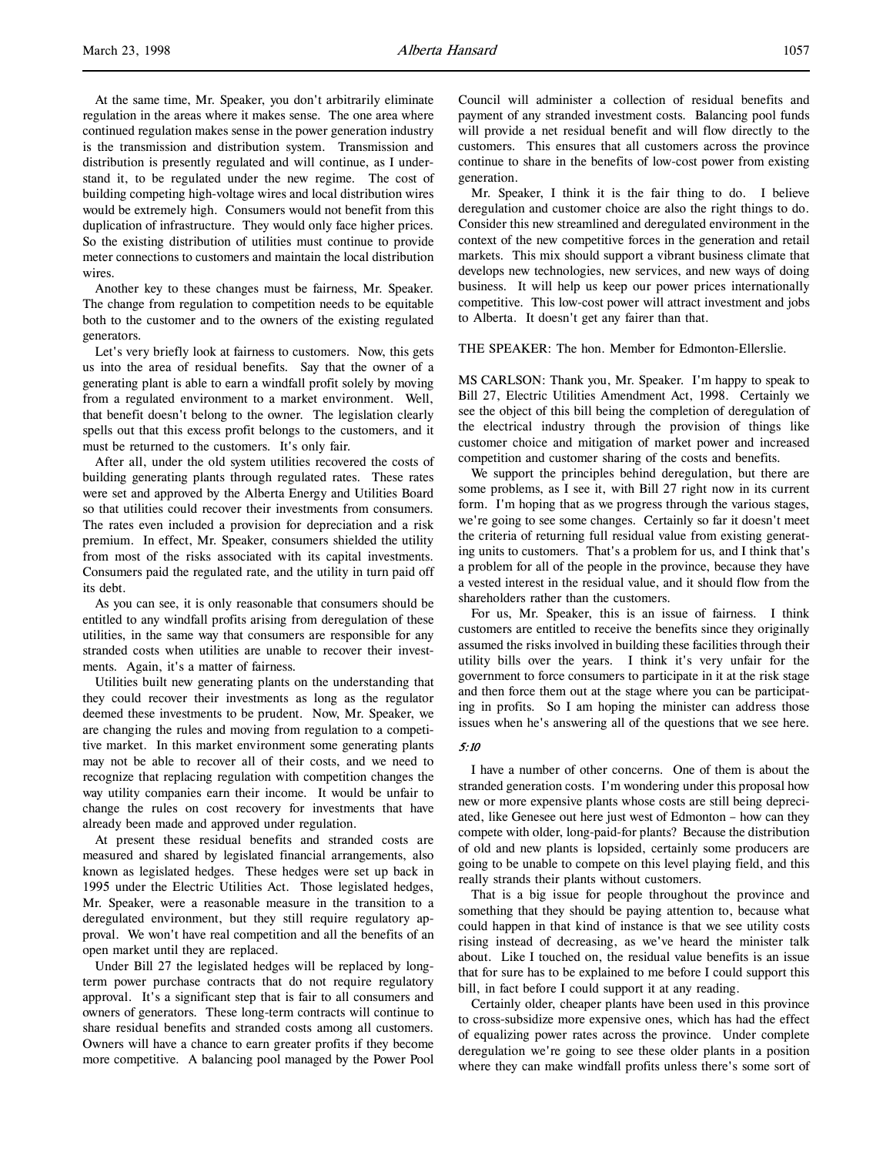At the same time, Mr. Speaker, you don't arbitrarily eliminate regulation in the areas where it makes sense. The one area where continued regulation makes sense in the power generation industry is the transmission and distribution system. Transmission and distribution is presently regulated and will continue, as I understand it, to be regulated under the new regime. The cost of building competing high-voltage wires and local distribution wires would be extremely high. Consumers would not benefit from this duplication of infrastructure. They would only face higher prices. So the existing distribution of utilities must continue to provide meter connections to customers and maintain the local distribution wires.

Another key to these changes must be fairness, Mr. Speaker. The change from regulation to competition needs to be equitable both to the customer and to the owners of the existing regulated generators.

Let's very briefly look at fairness to customers. Now, this gets us into the area of residual benefits. Say that the owner of a generating plant is able to earn a windfall profit solely by moving from a regulated environment to a market environment. Well, that benefit doesn't belong to the owner. The legislation clearly spells out that this excess profit belongs to the customers, and it must be returned to the customers. It's only fair.

After all, under the old system utilities recovered the costs of building generating plants through regulated rates. These rates were set and approved by the Alberta Energy and Utilities Board so that utilities could recover their investments from consumers. The rates even included a provision for depreciation and a risk premium. In effect, Mr. Speaker, consumers shielded the utility from most of the risks associated with its capital investments. Consumers paid the regulated rate, and the utility in turn paid off its debt.

As you can see, it is only reasonable that consumers should be entitled to any windfall profits arising from deregulation of these utilities, in the same way that consumers are responsible for any stranded costs when utilities are unable to recover their investments. Again, it's a matter of fairness.

Utilities built new generating plants on the understanding that they could recover their investments as long as the regulator deemed these investments to be prudent. Now, Mr. Speaker, we are changing the rules and moving from regulation to a competitive market. In this market environment some generating plants may not be able to recover all of their costs, and we need to recognize that replacing regulation with competition changes the way utility companies earn their income. It would be unfair to change the rules on cost recovery for investments that have already been made and approved under regulation.

At present these residual benefits and stranded costs are measured and shared by legislated financial arrangements, also known as legislated hedges. These hedges were set up back in 1995 under the Electric Utilities Act. Those legislated hedges, Mr. Speaker, were a reasonable measure in the transition to a deregulated environment, but they still require regulatory approval. We won't have real competition and all the benefits of an open market until they are replaced.

Under Bill 27 the legislated hedges will be replaced by longterm power purchase contracts that do not require regulatory approval. It's a significant step that is fair to all consumers and owners of generators. These long-term contracts will continue to share residual benefits and stranded costs among all customers. Owners will have a chance to earn greater profits if they become more competitive. A balancing pool managed by the Power Pool Council will administer a collection of residual benefits and payment of any stranded investment costs. Balancing pool funds will provide a net residual benefit and will flow directly to the customers. This ensures that all customers across the province continue to share in the benefits of low-cost power from existing generation.

Mr. Speaker, I think it is the fair thing to do. I believe deregulation and customer choice are also the right things to do. Consider this new streamlined and deregulated environment in the context of the new competitive forces in the generation and retail markets. This mix should support a vibrant business climate that develops new technologies, new services, and new ways of doing business. It will help us keep our power prices internationally competitive. This low-cost power will attract investment and jobs to Alberta. It doesn't get any fairer than that.

#### THE SPEAKER: The hon. Member for Edmonton-Ellerslie.

MS CARLSON: Thank you, Mr. Speaker. I'm happy to speak to Bill 27, Electric Utilities Amendment Act, 1998. Certainly we see the object of this bill being the completion of deregulation of the electrical industry through the provision of things like customer choice and mitigation of market power and increased competition and customer sharing of the costs and benefits.

We support the principles behind deregulation, but there are some problems, as I see it, with Bill 27 right now in its current form. I'm hoping that as we progress through the various stages, we're going to see some changes. Certainly so far it doesn't meet the criteria of returning full residual value from existing generating units to customers. That's a problem for us, and I think that's a problem for all of the people in the province, because they have a vested interest in the residual value, and it should flow from the shareholders rather than the customers.

For us, Mr. Speaker, this is an issue of fairness. I think customers are entitled to receive the benefits since they originally assumed the risks involved in building these facilities through their utility bills over the years. I think it's very unfair for the government to force consumers to participate in it at the risk stage and then force them out at the stage where you can be participating in profits. So I am hoping the minister can address those issues when he's answering all of the questions that we see here.

# 5:10

I have a number of other concerns. One of them is about the stranded generation costs. I'm wondering under this proposal how new or more expensive plants whose costs are still being depreciated, like Genesee out here just west of Edmonton – how can they compete with older, long-paid-for plants? Because the distribution of old and new plants is lopsided, certainly some producers are going to be unable to compete on this level playing field, and this really strands their plants without customers.

That is a big issue for people throughout the province and something that they should be paying attention to, because what could happen in that kind of instance is that we see utility costs rising instead of decreasing, as we've heard the minister talk about. Like I touched on, the residual value benefits is an issue that for sure has to be explained to me before I could support this bill, in fact before I could support it at any reading.

Certainly older, cheaper plants have been used in this province to cross-subsidize more expensive ones, which has had the effect of equalizing power rates across the province. Under complete deregulation we're going to see these older plants in a position where they can make windfall profits unless there's some sort of